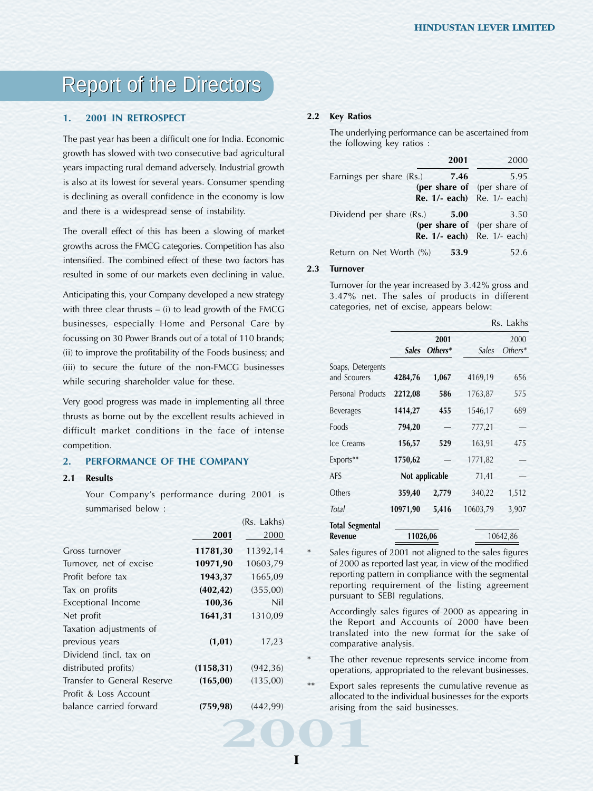# **1. 2001 IN RETROSPECT**

The past year has been a difficult one for India. Economic growth has slowed with two consecutive bad agricultural years impacting rural demand adversely. Industrial growth is also at its lowest for several years. Consumer spending is declining as overall confidence in the economy is low and there is a widespread sense of instability.

The overall effect of this has been a slowing of market growths across the FMCG categories. Competition has also intensified. The combined effect of these two factors has resulted in some of our markets even declining in value.

Anticipating this, your Company developed a new strategy with three clear thrusts – (i) to lead growth of the FMCG businesses, especially Home and Personal Care by focussing on 30 Power Brands out of a total of 110 brands; (ii) to improve the profitability of the Foods business; and (iii) to secure the future of the non-FMCG businesses while securing shareholder value for these.

Very good progress was made in implementing all three thrusts as borne out by the excellent results achieved in difficult market conditions in the face of intense competition.

# **2. PERFORMANCE OF THE COMPANY**

#### **2.1 Results**

Your Company's performance during 2001 is summarised below :

|                             |            | (RS. Lakhs) |        | <b>Total Segment</b>             |
|-----------------------------|------------|-------------|--------|----------------------------------|
|                             | 2001       | 2000        |        | <b>Revenue</b>                   |
| Gross turnover              | 11781,30   | 11392,14    | $\ast$ | Sales figure                     |
| Turnover, net of excise     | 10971,90   | 10603,79    |        | of 2000 as t                     |
| Profit before tax           | 1943,37    | 1665,09     |        | reporting pa                     |
| Tax on profits              | (402, 42)  | (355,00)    |        | reporting r                      |
| Exceptional Income          | 100,36     | Nil         |        | pursuant to                      |
| Net profit                  | 1641,31    | 1310,09     |        | <b>Accordingly</b><br>the Report |
| Taxation adjustments of     |            |             |        | translated                       |
| previous years              | (1, 01)    | 17,23       |        | comparativ                       |
| Dividend (incl. tax on      |            |             | $\ast$ | The other r                      |
| distributed profits)        | (1158, 31) | (942, 36)   |        | operations,                      |
| Transfer to General Reserve | (165, 00)  | (135,00)    | **     | Export sale                      |
| Profit & Loss Account       |            |             |        | allocated to                     |
| balance carried forward     | (759, 98)  | (442, 99)   |        | arising fron                     |
|                             |            |             |        |                                  |
|                             |            |             |        |                                  |
|                             |            |             |        |                                  |
|                             |            |             |        |                                  |

### **2.2 Key Ratios**

The underlying performance can be ascertained from the following key ratios :

| 2001                                                                                                   | 2000 |
|--------------------------------------------------------------------------------------------------------|------|
| Earnings per share (Rs.)<br>7.46<br>(per share of (per share of<br><b>Re. 1/- each</b> ) Re. 1/- each) | 5.95 |
| Dividend per share (Rs.)<br>5.00<br>(per share of (per share of<br><b>Re. 1/- each</b> ) Re. 1/- each) | 3.50 |
| Return on Net Worth (%)<br>53.9                                                                        | 52.6 |

## **2.3 Turnover**

Turnover for the year increased by 3.42% gross and 3.47% net. The sales of products in different categories, net of excise, appears below:

|                                          |                |                   |          | Rs. Lakhs         |
|------------------------------------------|----------------|-------------------|----------|-------------------|
|                                          | <i>Sales</i>   | 2001<br>$Others*$ | Sales    | 2000<br>$Others*$ |
| Soaps, Detergents<br>and Scourers        | 4284,76        | 1,067             | 4169,19  | 656               |
| Personal Products                        | 2212,08        | 586               | 1763,87  | 575               |
| <b>Beverages</b>                         | 1414,27        | 455               | 1546,17  | 689               |
| Foods                                    | 794,20         |                   | 777,21   |                   |
| Ice Creams                               | 156,57         | 529               | 163,91   | 475               |
| Exports**                                | 1750,62        |                   | 1771,82  |                   |
| AFS                                      | Not applicable |                   | 71,41    |                   |
| Others                                   | 359,40         | 2,779             | 340,22   | 1,512             |
| Total                                    | 10971,90       | 5,416             | 10603,79 | 3,907             |
| <b>Total Segmental</b><br><b>Revenue</b> | 11026,06       |                   |          | 10642,86          |

Sales figures of 2001 not aligned to the sales figures of 2000 as reported last year, in view of the modified reporting pattern in compliance with the segmental reporting requirement of the listing agreement pursuant to SEBI regulations.

Accordingly sales figures of 2000 as appearing in the Report and Accounts of 2000 have been translated into the new format for the sake of comparative analysis.

- The other revenue represents service income from operations, appropriated to the relevant businesses.
- Export sales represents the cumulative revenue as allocated to the individual businesses for the exports arising from the said businesses.

 $\overline{R}$  . Lakhs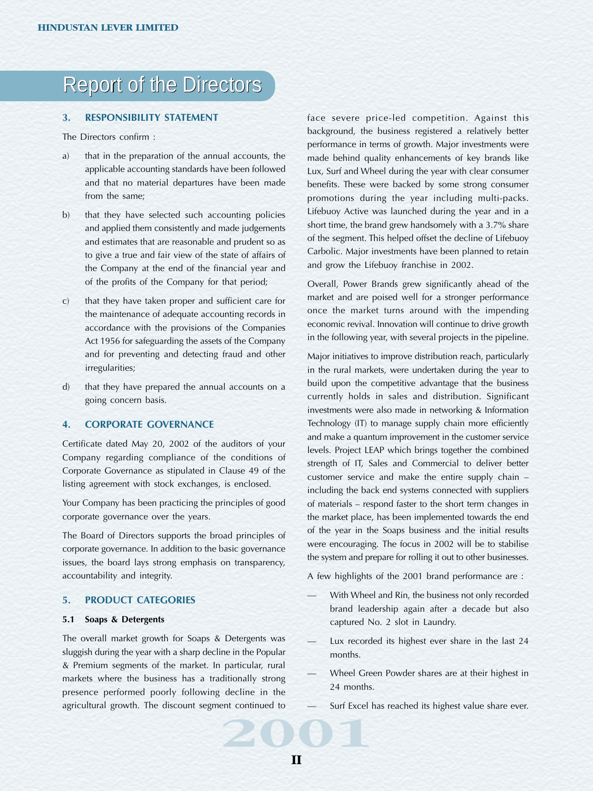# **3. RESPONSIBILITY STATEMENT**

The Directors confirm :

- a) that in the preparation of the annual accounts, the applicable accounting standards have been followed and that no material departures have been made from the same;
- b) that they have selected such accounting policies and applied them consistently and made judgements and estimates that are reasonable and prudent so as to give a true and fair view of the state of affairs of the Company at the end of the financial year and of the profits of the Company for that period;
- c) that they have taken proper and sufficient care for the maintenance of adequate accounting records in accordance with the provisions of the Companies Act 1956 for safeguarding the assets of the Company and for preventing and detecting fraud and other irregularities;
- d) that they have prepared the annual accounts on a going concern basis.

### **4. CORPORATE GOVERNANCE**

Certificate dated May 20, 2002 of the auditors of your Company regarding compliance of the conditions of Corporate Governance as stipulated in Clause 49 of the listing agreement with stock exchanges, is enclosed.

Your Company has been practicing the principles of good corporate governance over the years.

The Board of Directors supports the broad principles of corporate governance. In addition to the basic governance issues, the board lays strong emphasis on transparency, accountability and integrity.

### **5. PRODUCT CATEGORIES**

### **5.1 Soaps & Detergents**

**2001** The overall market growth for Soaps & Detergents was sluggish during the year with a sharp decline in the Popular & Premium segments of the market. In particular, rural markets where the business has a traditionally strong presence performed poorly following decline in the agricultural growth. The discount segment continued to

face severe price-led competition. Against this background, the business registered a relatively better performance in terms of growth. Major investments were made behind quality enhancements of key brands like Lux, Surf and Wheel during the year with clear consumer benefits. These were backed by some strong consumer promotions during the year including multi-packs. Lifebuoy Active was launched during the year and in a short time, the brand grew handsomely with a 3.7% share of the segment. This helped offset the decline of Lifebuoy Carbolic. Major investments have been planned to retain and grow the Lifebuoy franchise in 2002.

Overall, Power Brands grew significantly ahead of the market and are poised well for a stronger performance once the market turns around with the impending economic revival. Innovation will continue to drive growth in the following year, with several projects in the pipeline.

Major initiatives to improve distribution reach, particularly in the rural markets, were undertaken during the year to build upon the competitive advantage that the business currently holds in sales and distribution. Significant investments were also made in networking & Information Technology (IT) to manage supply chain more efficiently and make a quantum improvement in the customer service levels. Project LEAP which brings together the combined strength of IT, Sales and Commercial to deliver better customer service and make the entire supply chain – including the back end systems connected with suppliers of materials – respond faster to the short term changes in the market place, has been implemented towards the end of the year in the Soaps business and the initial results were encouraging. The focus in 2002 will be to stabilise the system and prepare for rolling it out to other businesses.

A few highlights of the 2001 brand performance are :

- With Wheel and Rin, the business not only recorded brand leadership again after a decade but also captured No. 2 slot in Laundry.
- Lux recorded its highest ever share in the last 24 months.
- Wheel Green Powder shares are at their highest in 24 months.
- Surf Excel has reached its highest value share ever.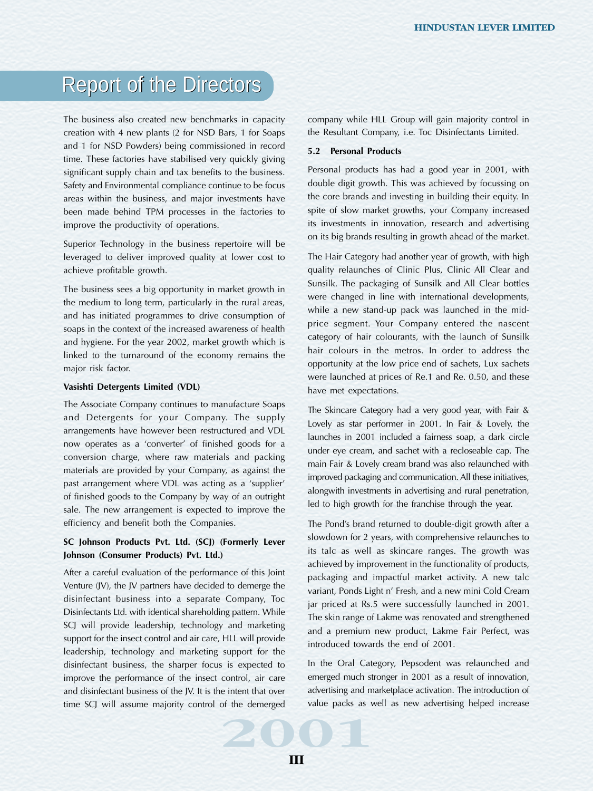The business also created new benchmarks in capacity creation with 4 new plants (2 for NSD Bars, 1 for Soaps and 1 for NSD Powders) being commissioned in record time. These factories have stabilised very quickly giving significant supply chain and tax benefits to the business. Safety and Environmental compliance continue to be focus areas within the business, and major investments have been made behind TPM processes in the factories to improve the productivity of operations.

Superior Technology in the business repertoire will be leveraged to deliver improved quality at lower cost to achieve profitable growth.

The business sees a big opportunity in market growth in the medium to long term, particularly in the rural areas, and has initiated programmes to drive consumption of soaps in the context of the increased awareness of health and hygiene. For the year 2002, market growth which is linked to the turnaround of the economy remains the major risk factor.

#### **Vasishti Detergents Limited (VDL)**

The Associate Company continues to manufacture Soaps and Detergents for your Company. The supply arrangements have however been restructured and VDL now operates as a 'converter' of finished goods for a conversion charge, where raw materials and packing materials are provided by your Company, as against the past arrangement where VDL was acting as a 'supplier' of finished goods to the Company by way of an outright sale. The new arrangement is expected to improve the efficiency and benefit both the Companies.

# **SC Johnson Products Pvt. Ltd. (SCJ) (Formerly Lever Johnson (Consumer Products) Pvt. Ltd.)**

After a careful evaluation of the performance of this Joint Venture (JV), the JV partners have decided to demerge the disinfectant business into a separate Company, Toc Disinfectants Ltd. with identical shareholding pattern. While SCJ will provide leadership, technology and marketing support for the insect control and air care, HLL will provide leadership, technology and marketing support for the disinfectant business, the sharper focus is expected to improve the performance of the insect control, air care and disinfectant business of the JV. It is the intent that over time SCJ will assume majority control of the demerged

company while HLL Group will gain majority control in the Resultant Company, i.e. Toc Disinfectants Limited.

# **5.2 Personal Products**

Personal products has had a good year in 2001, with double digit growth. This was achieved by focussing on the core brands and investing in building their equity. In spite of slow market growths, your Company increased its investments in innovation, research and advertising on its big brands resulting in growth ahead of the market.

The Hair Category had another year of growth, with high quality relaunches of Clinic Plus, Clinic All Clear and Sunsilk. The packaging of Sunsilk and All Clear bottles were changed in line with international developments, while a new stand-up pack was launched in the midprice segment. Your Company entered the nascent category of hair colourants, with the launch of Sunsilk hair colours in the metros. In order to address the opportunity at the low price end of sachets, Lux sachets were launched at prices of Re.1 and Re. 0.50, and these have met expectations.

The Skincare Category had a very good year, with Fair & Lovely as star performer in 2001. In Fair & Lovely, the launches in 2001 included a fairness soap, a dark circle under eye cream, and sachet with a recloseable cap. The main Fair & Lovely cream brand was also relaunched with improved packaging and communication. All these initiatives, alongwith investments in advertising and rural penetration, led to high growth for the franchise through the year.

The Pond's brand returned to double-digit growth after a slowdown for 2 years, with comprehensive relaunches to its talc as well as skincare ranges. The growth was achieved by improvement in the functionality of products, packaging and impactful market activity. A new talc variant, Ponds Light n' Fresh, and a new mini Cold Cream jar priced at Rs.5 were successfully launched in 2001. The skin range of Lakme was renovated and strengthened and a premium new product, Lakme Fair Perfect, was introduced towards the end of 2001.

In the Oral Category, Pepsodent was relaunched and emerged much stronger in 2001 as a result of innovation, advertising and marketplace activation. The introduction of value packs as well as new advertising helped increase

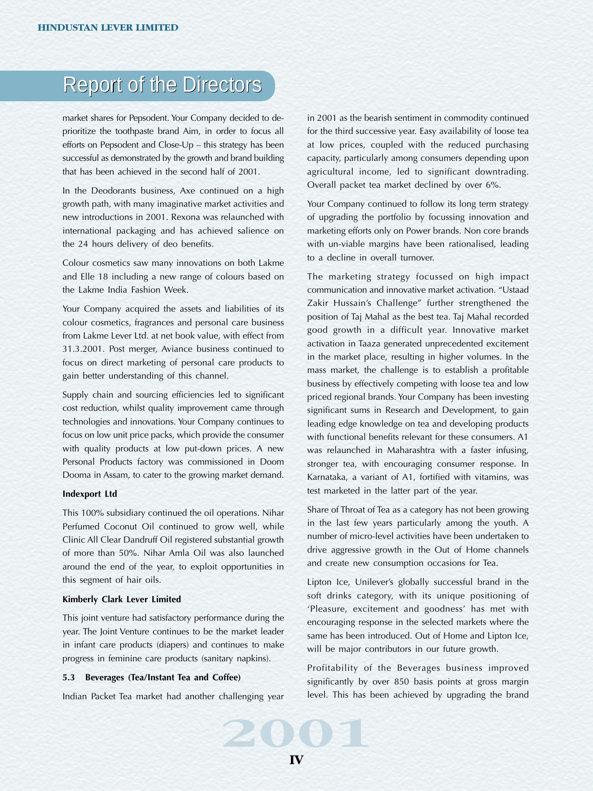market shares for Pepsodent. Your Company decided to deprioritize the toothpaste brand Aim, in order to focus all efforts on Pepsodent and Close-Up – this strategy has been successful as demonstrated by the growth and brand building that has been achieved in the second half of 2001.

In the Deodorants business, Axe continued on a high growth path, with many imaginative market activities and new introductions in 2001. Rexona was relaunched with international packaging and has achieved salience on the 24 hours delivery of deo benefits.

Colour cosmetics saw many innovations on both Lakme and Elle 18 including a new range of colours based on the Lakme India Fashion Week.

Your Company acquired the assets and liabilities of its colour cosmetics, fragrances and personal care business from Lakme Lever Ltd. at net book value, with effect from 31.3.2001. Post merger, Aviance business continued to focus on direct marketing of personal care products to gain better understanding of this channel.

Supply chain and sourcing efficiencies led to significant cost reduction, whilst quality improvement came through technologies and innovations. Your Company continues to focus on low unit price packs, which provide the consumer with quality products at low put-down prices. A new Personal Products factory was commissioned in Doom Dooma in Assam, to cater to the growing market demand.

# **Indexport Ltd**

This 100% subsidiary continued the oil operations. Nihar Perfumed Coconut Oil continued to grow well, while Clinic All Clear Dandruff Oil registered substantial growth of more than 50%. Nihar Amla Oil was also launched around the end of the year, to exploit opportunities in this segment of hair oils.

#### **Kimberly Clark Lever Limited**

This joint venture had satisfactory performance during the year. The Joint Venture continues to be the market leader in infant care products (diapers) and continues to make progress in feminine care products (sanitary napkins).

#### **5.3 Beverages (Tea/Instant Tea and Coffee)**

**2001**<br> **2003**<br> **2004**<br> **2004**<br> **2004** Indian Packet Tea market had another challenging year

in 2001 as the bearish sentiment in commodity continued for the third successive year. Easy availability of loose tea at low prices, coupled with the reduced purchasing capacity, particularly among consumers depending upon agricultural income, led to significant downtrading. Overall packet tea market declined by over 6%.

Your Company continued to follow its long term strategy of upgrading the portfolio by focussing innovation and marketing efforts only on Power brands. Non core brands with un-viable margins have been rationalised, leading to a decline in overall turnover.

The marketing strategy focussed on high impact communication and innovative market activation. "Ustaad Zakir Hussain's Challenge" further strengthened the position of Taj Mahal as the best tea. Taj Mahal recorded good growth in a difficult year. Innovative market activation in Taaza generated unprecedented excitement in the market place, resulting in higher volumes. In the mass market, the challenge is to establish a profitable business by effectively competing with loose tea and low priced regional brands. Your Company has been investing significant sums in Research and Development, to gain leading edge knowledge on tea and developing products with functional benefits relevant for these consumers. A1 was relaunched in Maharashtra with a faster infusing, stronger tea, with encouraging consumer response. In Karnataka, a variant of A1, fortified with vitamins, was test marketed in the latter part of the year.

Share of Throat of Tea as a category has not been growing in the last few years particularly among the youth. A number of micro-level activities have been undertaken to drive aggressive growth in the Out of Home channels and create new consumption occasions for Tea.

Lipton Ice, Unilever's globally successful brand in the soft drinks category, with its unique positioning of 'Pleasure, excitement and goodness' has met with encouraging response in the selected markets where the same has been introduced. Out of Home and Lipton Ice, will be major contributors in our future growth.

Profitability of the Beverages business improved significantly by over 850 basis points at gross margin level. This has been achieved by upgrading the brand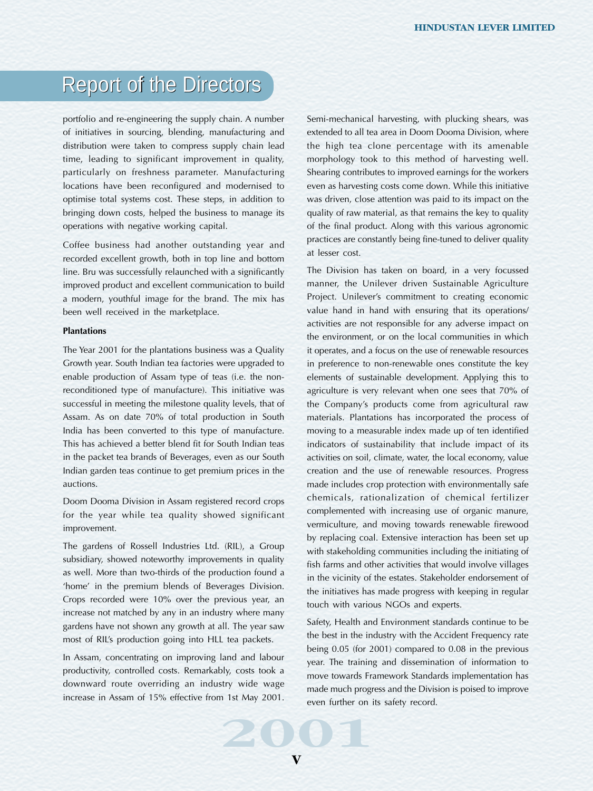portfolio and re-engineering the supply chain. A number of initiatives in sourcing, blending, manufacturing and distribution were taken to compress supply chain lead time, leading to significant improvement in quality, particularly on freshness parameter. Manufacturing locations have been reconfigured and modernised to optimise total systems cost. These steps, in addition to bringing down costs, helped the business to manage its operations with negative working capital.

Coffee business had another outstanding year and recorded excellent growth, both in top line and bottom line. Bru was successfully relaunched with a significantly improved product and excellent communication to build a modern, youthful image for the brand. The mix has been well received in the marketplace.

## **Plantations**

The Year 2001 for the plantations business was a Quality Growth year. South Indian tea factories were upgraded to enable production of Assam type of teas (i.e. the nonreconditioned type of manufacture). This initiative was successful in meeting the milestone quality levels, that of Assam. As on date 70% of total production in South India has been converted to this type of manufacture. This has achieved a better blend fit for South Indian teas in the packet tea brands of Beverages, even as our South Indian garden teas continue to get premium prices in the auctions.

Doom Dooma Division in Assam registered record crops for the year while tea quality showed significant improvement.

The gardens of Rossell Industries Ltd. (RIL), a Group subsidiary, showed noteworthy improvements in quality as well. More than two-thirds of the production found a 'home' in the premium blends of Beverages Division. Crops recorded were 10% over the previous year, an increase not matched by any in an industry where many gardens have not shown any growth at all. The year saw most of RIL's production going into HLL tea packets.

In Assam, concentrating on improving land and labour productivity, controlled costs. Remarkably, costs took a downward route overriding an industry wide wage increase in Assam of 15% effective from 1st May 2001.

Semi-mechanical harvesting, with plucking shears, was extended to all tea area in Doom Dooma Division, where the high tea clone percentage with its amenable morphology took to this method of harvesting well. Shearing contributes to improved earnings for the workers even as harvesting costs come down. While this initiative was driven, close attention was paid to its impact on the quality of raw material, as that remains the key to quality of the final product. Along with this various agronomic practices are constantly being fine-tuned to deliver quality at lesser cost.

The Division has taken on board, in a very focussed manner, the Unilever driven Sustainable Agriculture Project. Unilever's commitment to creating economic value hand in hand with ensuring that its operations/ activities are not responsible for any adverse impact on the environment, or on the local communities in which it operates, and a focus on the use of renewable resources in preference to non-renewable ones constitute the key elements of sustainable development. Applying this to agriculture is very relevant when one sees that 70% of the Company's products come from agricultural raw materials. Plantations has incorporated the process of moving to a measurable index made up of ten identified indicators of sustainability that include impact of its activities on soil, climate, water, the local economy, value creation and the use of renewable resources. Progress made includes crop protection with environmentally safe chemicals, rationalization of chemical fertilizer complemented with increasing use of organic manure, vermiculture, and moving towards renewable firewood by replacing coal. Extensive interaction has been set up with stakeholding communities including the initiating of fish farms and other activities that would involve villages in the vicinity of the estates. Stakeholder endorsement of the initiatives has made progress with keeping in regular touch with various NGOs and experts.

Safety, Health and Environment standards continue to be the best in the industry with the Accident Frequency rate being 0.05 (for 2001) compared to 0.08 in the previous year. The training and dissemination of information to move towards Framework Standards implementation has made much progress and the Division is poised to improve even further on its safety record.

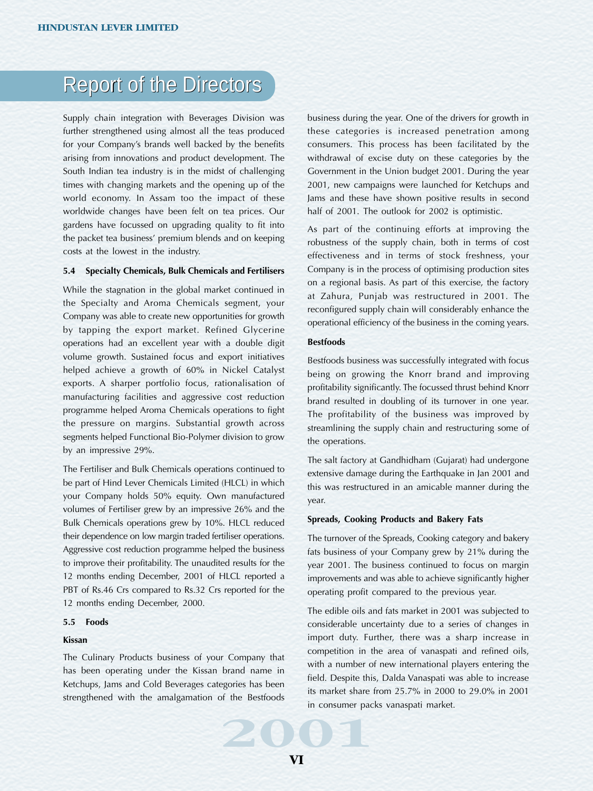Supply chain integration with Beverages Division was further strengthened using almost all the teas produced for your Company's brands well backed by the benefits arising from innovations and product development. The South Indian tea industry is in the midst of challenging times with changing markets and the opening up of the world economy. In Assam too the impact of these worldwide changes have been felt on tea prices. Our gardens have focussed on upgrading quality to fit into the packet tea business' premium blends and on keeping costs at the lowest in the industry.

#### **5.4 Specialty Chemicals, Bulk Chemicals and Fertilisers**

While the stagnation in the global market continued in the Specialty and Aroma Chemicals segment, your Company was able to create new opportunities for growth by tapping the export market. Refined Glycerine operations had an excellent year with a double digit volume growth. Sustained focus and export initiatives helped achieve a growth of 60% in Nickel Catalyst exports. A sharper portfolio focus, rationalisation of manufacturing facilities and aggressive cost reduction programme helped Aroma Chemicals operations to fight the pressure on margins. Substantial growth across segments helped Functional Bio-Polymer division to grow by an impressive 29%.

The Fertiliser and Bulk Chemicals operations continued to be part of Hind Lever Chemicals Limited (HLCL) in which your Company holds 50% equity. Own manufactured volumes of Fertiliser grew by an impressive 26% and the Bulk Chemicals operations grew by 10%. HLCL reduced their dependence on low margin traded fertiliser operations. Aggressive cost reduction programme helped the business to improve their profitability. The unaudited results for the 12 months ending December, 2001 of HLCL reported a PBT of Rs.46 Crs compared to Rs.32 Crs reported for the 12 months ending December, 2000.

#### **5.5 Foods**

#### **Kissan**

The Culinary Products business of your Company that has been operating under the Kissan brand name in Ketchups, Jams and Cold Beverages categories has been strengthened with the amalgamation of the Bestfoods

business during the year. One of the drivers for growth in these categories is increased penetration among consumers. This process has been facilitated by the withdrawal of excise duty on these categories by the Government in the Union budget 2001. During the year 2001, new campaigns were launched for Ketchups and Jams and these have shown positive results in second half of 2001. The outlook for 2002 is optimistic.

As part of the continuing efforts at improving the robustness of the supply chain, both in terms of cost effectiveness and in terms of stock freshness, your Company is in the process of optimising production sites on a regional basis. As part of this exercise, the factory at Zahura, Punjab was restructured in 2001. The reconfigured supply chain will considerably enhance the operational efficiency of the business in the coming years.

### **Bestfoods**

Bestfoods business was successfully integrated with focus being on growing the Knorr brand and improving profitability significantly. The focussed thrust behind Knorr brand resulted in doubling of its turnover in one year. The profitability of the business was improved by streamlining the supply chain and restructuring some of the operations.

The salt factory at Gandhidham (Gujarat) had undergone extensive damage during the Earthquake in Jan 2001 and this was restructured in an amicable manner during the year.

#### **Spreads, Cooking Products and Bakery Fats**

The turnover of the Spreads, Cooking category and bakery fats business of your Company grew by 21% during the year 2001. The business continued to focus on margin improvements and was able to achieve significantly higher operating profit compared to the previous year.

of the Bestfoods in consumer package in the set of the Bestfoods in consumer package in the set of the set of the set of the set of the set of the set of the set of the set of the set of the set of the set of the set of th The edible oils and fats market in 2001 was subjected to considerable uncertainty due to a series of changes in import duty. Further, there was a sharp increase in competition in the area of vanaspati and refined oils, with a number of new international players entering the field. Despite this, Dalda Vanaspati was able to increase its market share from 25.7% in 2000 to 29.0% in 2001 in consumer packs vanaspati market.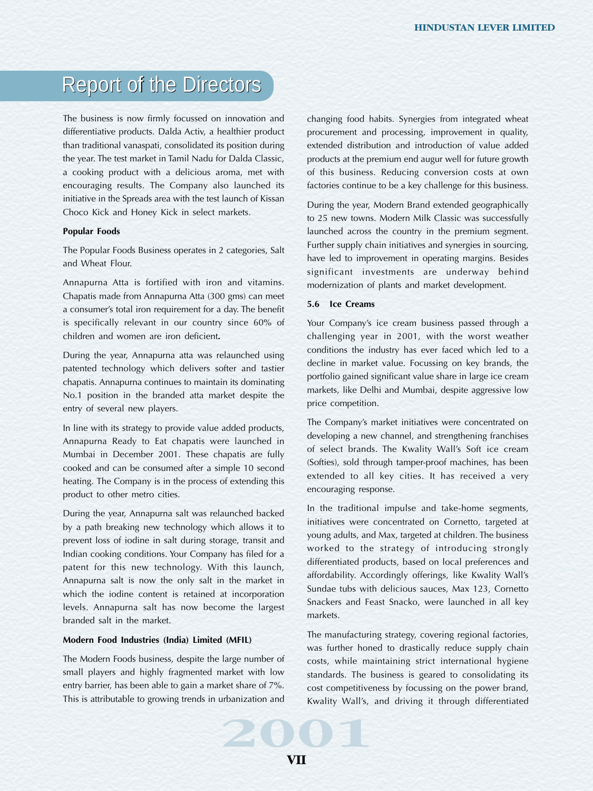The business is now firmly focussed on innovation and differentiative products. Dalda Activ, a healthier product than traditional vanaspati, consolidated its position during the year. The test market in Tamil Nadu for Dalda Classic, a cooking product with a delicious aroma, met with encouraging results. The Company also launched its initiative in the Spreads area with the test launch of Kissan Choco Kick and Honey Kick in select markets.

#### **Popular Foods**

The Popular Foods Business operates in 2 categories, Salt and Wheat Flour.

Annapurna Atta is fortified with iron and vitamins. Chapatis made from Annapurna Atta (300 gms) can meet a consumer's total iron requirement for a day. The benefit is specifically relevant in our country since 60% of children and women are iron deficient**.**

During the year, Annapurna atta was relaunched using patented technology which delivers softer and tastier chapatis. Annapurna continues to maintain its dominating No.1 position in the branded atta market despite the entry of several new players.

In line with its strategy to provide value added products, Annapurna Ready to Eat chapatis were launched in Mumbai in December 2001. These chapatis are fully cooked and can be consumed after a simple 10 second heating. The Company is in the process of extending this product to other metro cities.

During the year, Annapurna salt was relaunched backed by a path breaking new technology which allows it to prevent loss of iodine in salt during storage, transit and Indian cooking conditions. Your Company has filed for a patent for this new technology. With this launch, Annapurna salt is now the only salt in the market in which the iodine content is retained at incorporation levels. Annapurna salt has now become the largest branded salt in the market.

### **Modern Food Industries (India) Limited (MFIL)**

The Modern Foods business, despite the large number of small players and highly fragmented market with low entry barrier, has been able to gain a market share of 7%. This is attributable to growing trends in urbanization and changing food habits. Synergies from integrated wheat procurement and processing, improvement in quality, extended distribution and introduction of value added products at the premium end augur well for future growth of this business. Reducing conversion costs at own factories continue to be a key challenge for this business.

During the year, Modern Brand extended geographically to 25 new towns. Modern Milk Classic was successfully launched across the country in the premium segment. Further supply chain initiatives and synergies in sourcing, have led to improvement in operating margins. Besides significant investments are underway behind modernization of plants and market development.

### **5.6 Ice Creams**

Your Company's ice cream business passed through a challenging year in 2001, with the worst weather conditions the industry has ever faced which led to a decline in market value. Focussing on key brands, the portfolio gained significant value share in large ice cream markets, like Delhi and Mumbai, despite aggressive low price competition.

The Company's market initiatives were concentrated on developing a new channel, and strengthening franchises of select brands. The Kwality Wall's Soft ice cream (Softies), sold through tamper-proof machines, has been extended to all key cities. It has received a very encouraging response.

In the traditional impulse and take-home segments, initiatives were concentrated on Cornetto, targeted at young adults, and Max, targeted at children. The business worked to the strategy of introducing strongly differentiated products, based on local preferences and affordability. Accordingly offerings, like Kwality Wall's Sundae tubs with delicious sauces, Max 123, Cornetto Snackers and Feast Snacko, were launched in all key markets.

urbanization and<br>**2001**<br>**2003**<br>**2004** The manufacturing strategy, covering regional factories, was further honed to drastically reduce supply chain costs, while maintaining strict international hygiene standards. The business is geared to consolidating its cost competitiveness by focussing on the power brand, Kwality Wall's, and driving it through differentiated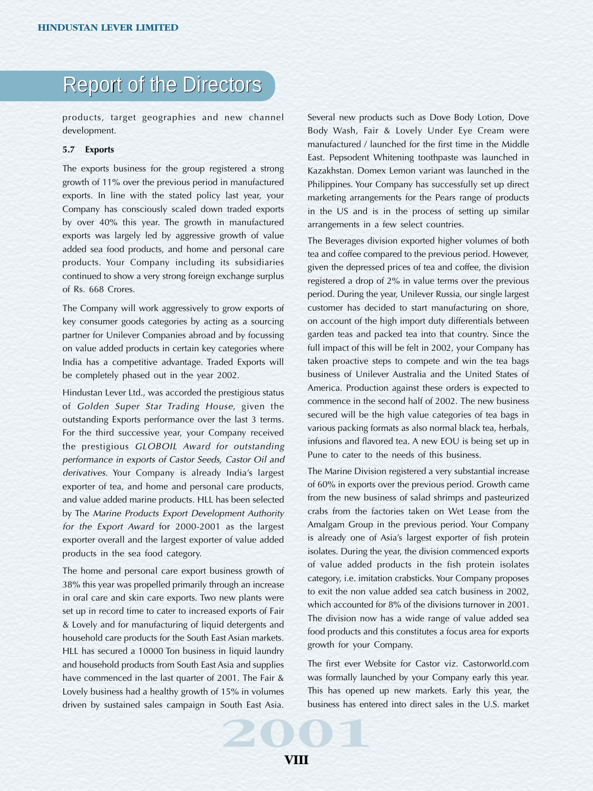products, target geographies and new channel development.

### **5.7 Exports**

The exports business for the group registered a strong growth of 11% over the previous period in manufactured exports. In line with the stated policy last year, your Company has consciously scaled down traded exports by over 40% this year. The growth in manufactured exports was largely led by aggressive growth of value added sea food products, and home and personal care products. Your Company including its subsidiaries continued to show a very strong foreign exchange surplus of Rs. 668 Crores.

The Company will work aggressively to grow exports of key consumer goods categories by acting as a sourcing partner for Unilever Companies abroad and by focussing on value added products in certain key categories where India has a competitive advantage. Traded Exports will be completely phased out in the year 2002.

Hindustan Lever Ltd., was accorded the prestigious status of Golden Super Star Trading House, given the outstanding Exports performance over the last 3 terms. For the third successive year, your Company received the prestigious GLOBOIL Award for outstanding performance in exports of Castor Seeds, Castor Oil and derivatives. Your Company is already India's largest exporter of tea, and home and personal care products, and value added marine products. HLL has been selected by The Marine Products Export Development Authority for the Export Award for 2000-2001 as the largest exporter overall and the largest exporter of value added products in the sea food category.

South East Asia. business has entered and the set of the set of the set of the set of the set of the set of the set of the set of the set of the set of the set of the set of the set of the set of the set of the set of the The home and personal care export business growth of 38% this year was propelled primarily through an increase in oral care and skin care exports. Two new plants were set up in record time to cater to increased exports of Fair & Lovely and for manufacturing of liquid detergents and household care products for the South East Asian markets. HLL has secured a 10000 Ton business in liquid laundry and household products from South East Asia and supplies have commenced in the last quarter of 2001. The Fair & Lovely business had a healthy growth of 15% in volumes driven by sustained sales campaign in South East Asia.

Several new products such as Dove Body Lotion, Dove Body Wash, Fair & Lovely Under Eye Cream were manufactured / launched for the first time in the Middle East. Pepsodent Whitening toothpaste was launched in Kazakhstan. Domex Lemon variant was launched in the Philippines. Your Company has successfully set up direct marketing arrangements for the Pears range of products in the US and is in the process of setting up similar arrangements in a few select countries.

The Beverages division exported higher volumes of both tea and coffee compared to the previous period. However, given the depressed prices of tea and coffee, the division registered a drop of 2% in value terms over the previous period. During the year, Unilever Russia, our single largest customer has decided to start manufacturing on shore, on account of the high import duty differentials between garden teas and packed tea into that country. Since the full impact of this will be felt in 2002, your Company has taken proactive steps to compete and win the tea bags business of Unilever Australia and the United States of America. Production against these orders is expected to commence in the second half of 2002. The new business secured will be the high value categories of tea bags in various packing formats as also normal black tea, herbals, infusions and flavored tea. A new EOU is being set up in Pune to cater to the needs of this business.

The Marine Division registered a very substantial increase of 60% in exports over the previous period. Growth came from the new business of salad shrimps and pasteurized crabs from the factories taken on Wet Lease from the Amalgam Group in the previous period. Your Company is already one of Asia's largest exporter of fish protein isolates. During the year, the division commenced exports of value added products in the fish protein isolates category, i.e. imitation crabsticks. Your Company proposes to exit the non value added sea catch business in 2002, which accounted for 8% of the divisions turnover in 2001. The division now has a wide range of value added sea food products and this constitutes a focus area for exports growth for your Company.

The first ever Website for Castor viz. Castorworld.com was formally launched by your Company early this year. This has opened up new markets. Early this year, the business has entered into direct sales in the U.S. market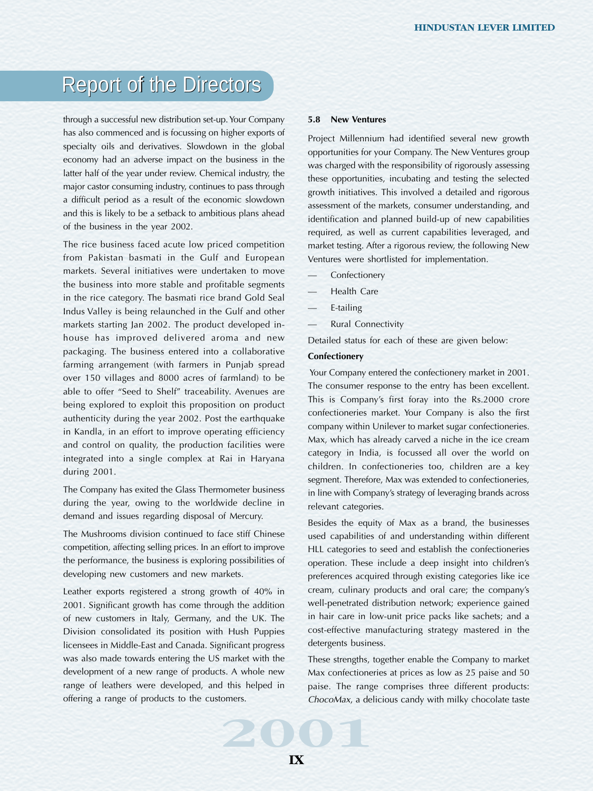through a successful new distribution set-up. Your Company has also commenced and is focussing on higher exports of specialty oils and derivatives. Slowdown in the global economy had an adverse impact on the business in the latter half of the year under review. Chemical industry, the major castor consuming industry, continues to pass through a difficult period as a result of the economic slowdown and this is likely to be a setback to ambitious plans ahead of the business in the year 2002.

The rice business faced acute low priced competition from Pakistan basmati in the Gulf and European markets. Several initiatives were undertaken to move the business into more stable and profitable segments in the rice category. The basmati rice brand Gold Seal Indus Valley is being relaunched in the Gulf and other markets starting Jan 2002. The product developed inhouse has improved delivered aroma and new packaging. The business entered into a collaborative farming arrangement (with farmers in Punjab spread over 150 villages and 8000 acres of farmland) to be able to offer "Seed to Shelf" traceability. Avenues are being explored to exploit this proposition on product authenticity during the year 2002. Post the earthquake in Kandla, in an effort to improve operating efficiency and control on quality, the production facilities were integrated into a single complex at Rai in Haryana during 2001.

The Company has exited the Glass Thermometer business during the year, owing to the worldwide decline in demand and issues regarding disposal of Mercury.

The Mushrooms division continued to face stiff Chinese competition, affecting selling prices. In an effort to improve the performance, the business is exploring possibilities of developing new customers and new markets.

Leather exports registered a strong growth of 40% in 2001. Significant growth has come through the addition of new customers in Italy, Germany, and the UK. The Division consolidated its position with Hush Puppies licensees in Middle-East and Canada. Significant progress was also made towards entering the US market with the development of a new range of products. A whole new range of leathers were developed, and this helped in offering a range of products to the customers.

## **5.8 New Ventures**

Project Millennium had identified several new growth opportunities for your Company. The New Ventures group was charged with the responsibility of rigorously assessing these opportunities, incubating and testing the selected growth initiatives. This involved a detailed and rigorous assessment of the markets, consumer understanding, and identification and planned build-up of new capabilities required, as well as current capabilities leveraged, and market testing. After a rigorous review, the following New Ventures were shortlisted for implementation.

- **Confectionery**
- Health Care
- E-tailing
- Rural Connectivity

Detailed status for each of these are given below:

### **Confectionery**

 Your Company entered the confectionery market in 2001. The consumer response to the entry has been excellent. This is Company's first foray into the Rs.2000 crore confectioneries market. Your Company is also the first company within Unilever to market sugar confectioneries. Max, which has already carved a niche in the ice cream category in India, is focussed all over the world on children. In confectioneries too, children are a key segment. Therefore, Max was extended to confectioneries, in line with Company's strategy of leveraging brands across relevant categories.

Besides the equity of Max as a brand, the businesses used capabilities of and understanding within different HLL categories to seed and establish the confectioneries operation. These include a deep insight into children's preferences acquired through existing categories like ice cream, culinary products and oral care; the company's well-penetrated distribution network; experience gained in hair care in low-unit price packs like sachets; and a cost-effective manufacturing strategy mastered in the detergents business.

These strengths, together enable the Company to market Max confectioneries at prices as low as 25 paise and 50 paise. The range comprises three different products: ChocoMax, a delicious candy with milky chocolate taste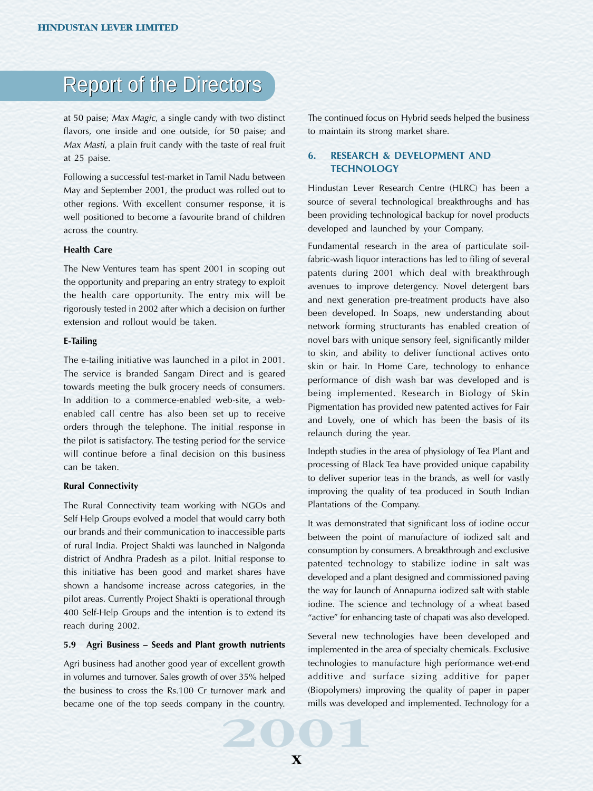at 50 paise; Max Magic, a single candy with two distinct flavors, one inside and one outside, for 50 paise; and Max Masti, a plain fruit candy with the taste of real fruit at 25 paise.

Following a successful test-market in Tamil Nadu between May and September 2001, the product was rolled out to other regions. With excellent consumer response, it is well positioned to become a favourite brand of children across the country.

### **Health Care**

The New Ventures team has spent 2001 in scoping out the opportunity and preparing an entry strategy to exploit the health care opportunity. The entry mix will be rigorously tested in 2002 after which a decision on further extension and rollout would be taken.

#### **E-Tailing**

The e-tailing initiative was launched in a pilot in 2001. The service is branded Sangam Direct and is geared towards meeting the bulk grocery needs of consumers. In addition to a commerce-enabled web-site, a webenabled call centre has also been set up to receive orders through the telephone. The initial response in the pilot is satisfactory. The testing period for the service will continue before a final decision on this business can be taken.

#### **Rural Connectivity**

The Rural Connectivity team working with NGOs and Self Help Groups evolved a model that would carry both our brands and their communication to inaccessible parts of rural India. Project Shakti was launched in Nalgonda district of Andhra Pradesh as a pilot. Initial response to this initiative has been good and market shares have shown a handsome increase across categories, in the pilot areas. Currently Project Shakti is operational through 400 Self-Help Groups and the intention is to extend its reach during 2002.

#### **5.9 Agri Business – Seeds and Plant growth nutrients**

 $\frac{20}{20}$  in the country. mills was developed to the country. Agri business had another good year of excellent growth in volumes and turnover. Sales growth of over 35% helped the business to cross the Rs.100 Cr turnover mark and became one of the top seeds company in the country.

The continued focus on Hybrid seeds helped the business to maintain its strong market share.

# **6. RESEARCH & DEVELOPMENT AND TECHNOLOGY**

Hindustan Lever Research Centre (HLRC) has been a source of several technological breakthroughs and has been providing technological backup for novel products developed and launched by your Company.

Fundamental research in the area of particulate soilfabric-wash liquor interactions has led to filing of several patents during 2001 which deal with breakthrough avenues to improve detergency. Novel detergent bars and next generation pre-treatment products have also been developed. In Soaps, new understanding about network forming structurants has enabled creation of novel bars with unique sensory feel, significantly milder to skin, and ability to deliver functional actives onto skin or hair. In Home Care, technology to enhance performance of dish wash bar was developed and is being implemented. Research in Biology of Skin Pigmentation has provided new patented actives for Fair and Lovely, one of which has been the basis of its relaunch during the year.

Indepth studies in the area of physiology of Tea Plant and processing of Black Tea have provided unique capability to deliver superior teas in the brands, as well for vastly improving the quality of tea produced in South Indian Plantations of the Company.

It was demonstrated that significant loss of iodine occur between the point of manufacture of iodized salt and consumption by consumers. A breakthrough and exclusive patented technology to stabilize iodine in salt was developed and a plant designed and commissioned paving the way for launch of Annapurna iodized salt with stable iodine. The science and technology of a wheat based "active" for enhancing taste of chapati was also developed.

Several new technologies have been developed and implemented in the area of specialty chemicals. Exclusive technologies to manufacture high performance wet-end additive and surface sizing additive for paper (Biopolymers) improving the quality of paper in paper mills was developed and implemented. Technology for a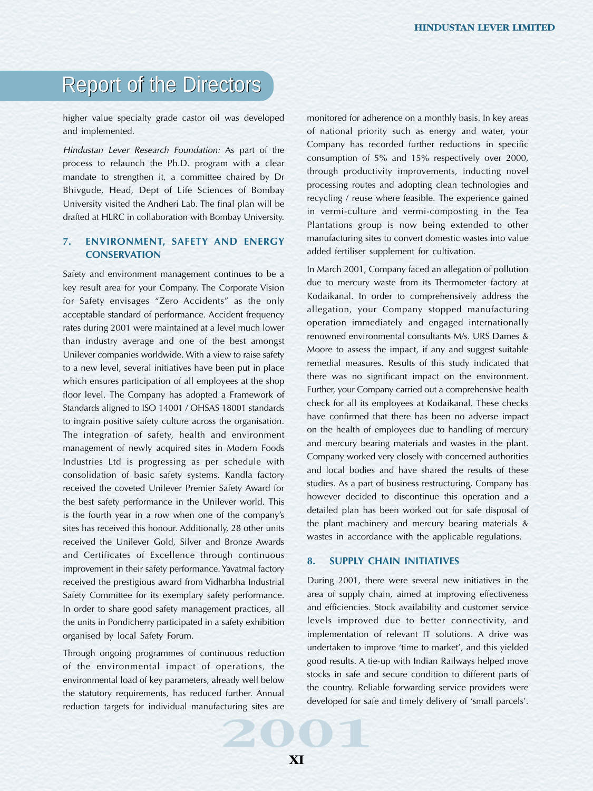higher value specialty grade castor oil was developed and implemented.

Hindustan Lever Research Foundation: As part of the process to relaunch the Ph.D. program with a clear mandate to strengthen it, a committee chaired by Dr Bhivgude, Head, Dept of Life Sciences of Bombay University visited the Andheri Lab. The final plan will be drafted at HLRC in collaboration with Bombay University.

# **7. ENVIRONMENT, SAFETY AND ENERGY CONSERVATION**

Safety and environment management continues to be a key result area for your Company. The Corporate Vision for Safety envisages "Zero Accidents" as the only acceptable standard of performance. Accident frequency rates during 2001 were maintained at a level much lower than industry average and one of the best amongst Unilever companies worldwide. With a view to raise safety to a new level, several initiatives have been put in place which ensures participation of all employees at the shop floor level. The Company has adopted a Framework of Standards aligned to ISO 14001 / OHSAS 18001 standards to ingrain positive safety culture across the organisation. The integration of safety, health and environment management of newly acquired sites in Modern Foods Industries Ltd is progressing as per schedule with consolidation of basic safety systems. Kandla factory received the coveted Unilever Premier Safety Award for the best safety performance in the Unilever world. This is the fourth year in a row when one of the company's sites has received this honour. Additionally, 28 other units received the Unilever Gold, Silver and Bronze Awards and Certificates of Excellence through continuous improvement in their safety performance. Yavatmal factory received the prestigious award from Vidharbha Industrial Safety Committee for its exemplary safety performance. In order to share good safety management practices, all the units in Pondicherry participated in a safety exhibition organised by local Safety Forum.

developed for safe developed for safe developed for safe developed for safe developed for safe developed for safe developed for safe developed for safe developed for safe developed for safe developed for safe developed for Through ongoing programmes of continuous reduction of the environmental impact of operations, the environmental load of key parameters, already well below the statutory requirements, has reduced further. Annual reduction targets for individual manufacturing sites are

monitored for adherence on a monthly basis. In key areas of national priority such as energy and water, your Company has recorded further reductions in specific consumption of 5% and 15% respectively over 2000, through productivity improvements, inducting novel processing routes and adopting clean technologies and recycling / reuse where feasible. The experience gained in vermi-culture and vermi-composting in the Tea Plantations group is now being extended to other manufacturing sites to convert domestic wastes into value added fertiliser supplement for cultivation.

In March 2001, Company faced an allegation of pollution due to mercury waste from its Thermometer factory at Kodaikanal. In order to comprehensively address the allegation, your Company stopped manufacturing operation immediately and engaged internationally renowned environmental consultants M/s. URS Dames & Moore to assess the impact, if any and suggest suitable remedial measures. Results of this study indicated that there was no significant impact on the environment. Further, your Company carried out a comprehensive health check for all its employees at Kodaikanal. These checks have confirmed that there has been no adverse impact on the health of employees due to handling of mercury and mercury bearing materials and wastes in the plant. Company worked very closely with concerned authorities and local bodies and have shared the results of these studies. As a part of business restructuring, Company has however decided to discontinue this operation and a detailed plan has been worked out for safe disposal of the plant machinery and mercury bearing materials & wastes in accordance with the applicable regulations.

# **8. SUPPLY CHAIN INITIATIVES**

During 2001, there were several new initiatives in the area of supply chain, aimed at improving effectiveness and efficiencies. Stock availability and customer service levels improved due to better connectivity, and implementation of relevant IT solutions. A drive was undertaken to improve 'time to market', and this yielded good results. A tie-up with Indian Railways helped move stocks in safe and secure condition to different parts of the country. Reliable forwarding service providers were developed for safe and timely delivery of 'small parcels'.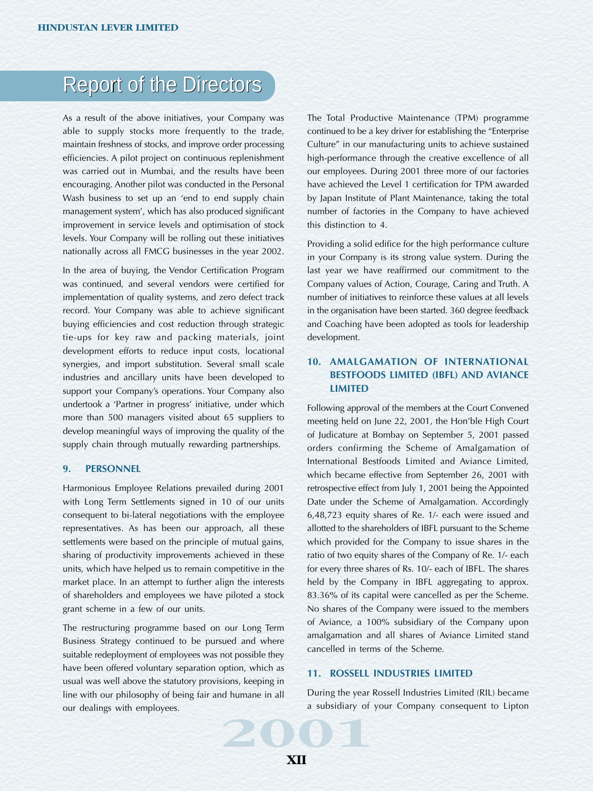As a result of the above initiatives, your Company was able to supply stocks more frequently to the trade, maintain freshness of stocks, and improve order processing efficiencies. A pilot project on continuous replenishment was carried out in Mumbai, and the results have been encouraging. Another pilot was conducted in the Personal Wash business to set up an 'end to end supply chain management system', which has also produced significant improvement in service levels and optimisation of stock levels. Your Company will be rolling out these initiatives nationally across all FMCG businesses in the year 2002.

In the area of buying, the Vendor Certification Program was continued, and several vendors were certified for implementation of quality systems, and zero defect track record. Your Company was able to achieve significant buying efficiencies and cost reduction through strategic tie-ups for key raw and packing materials, joint development efforts to reduce input costs, locational synergies, and import substitution. Several small scale industries and ancillary units have been developed to support your Company's operations. Your Company also undertook a 'Partner in progress' initiative, under which more than 500 managers visited about 65 suppliers to develop meaningful ways of improving the quality of the supply chain through mutually rewarding partnerships.

#### **9. PERSONNEL**

Harmonious Employee Relations prevailed during 2001 with Long Term Settlements signed in 10 of our units consequent to bi-lateral negotiations with the employee representatives. As has been our approach, all these settlements were based on the principle of mutual gains, sharing of productivity improvements achieved in these units, which have helped us to remain competitive in the market place. In an attempt to further align the interests of shareholders and employees we have piloted a stock grant scheme in a few of our units.

a subsidiary of The restructuring programme based on our Long Term Business Strategy continued to be pursued and where suitable redeployment of employees was not possible they have been offered voluntary separation option, which as usual was well above the statutory provisions, keeping in line with our philosophy of being fair and humane in all our dealings with employees.

The Total Productive Maintenance (TPM) programme continued to be a key driver for establishing the "Enterprise Culture" in our manufacturing units to achieve sustained high-performance through the creative excellence of all our employees. During 2001 three more of our factories have achieved the Level 1 certification for TPM awarded by Japan Institute of Plant Maintenance, taking the total number of factories in the Company to have achieved this distinction to 4.

Providing a solid edifice for the high performance culture in your Company is its strong value system. During the last year we have reaffirmed our commitment to the Company values of Action, Courage, Caring and Truth. A number of initiatives to reinforce these values at all levels in the organisation have been started. 360 degree feedback and Coaching have been adopted as tools for leadership development.

# **10. AMALGAMATION OF INTERNATIONAL BESTFOODS LIMITED (IBFL) AND AVIANCE LIMITED**

Following approval of the members at the Court Convened meeting held on June 22, 2001, the Hon'ble High Court of Judicature at Bombay on September 5, 2001 passed orders confirming the Scheme of Amalgamation of International Bestfoods Limited and Aviance Limited, which became effective from September 26, 2001 with retrospective effect from July 1, 2001 being the Appointed Date under the Scheme of Amalgamation. Accordingly 6,48,723 equity shares of Re. 1/- each were issued and allotted to the shareholders of IBFL pursuant to the Scheme which provided for the Company to issue shares in the ratio of two equity shares of the Company of Re. 1/- each for every three shares of Rs. 10/- each of IBFL. The shares held by the Company in IBFL aggregating to approx. 83.36% of its capital were cancelled as per the Scheme. No shares of the Company were issued to the members of Aviance, a 100% subsidiary of the Company upon amalgamation and all shares of Aviance Limited stand cancelled in terms of the Scheme.

# **11. ROSSELL INDUSTRIES LIMITED**

During the year Rossell Industries Limited (RIL) became a subsidiary of your Company consequent to Lipton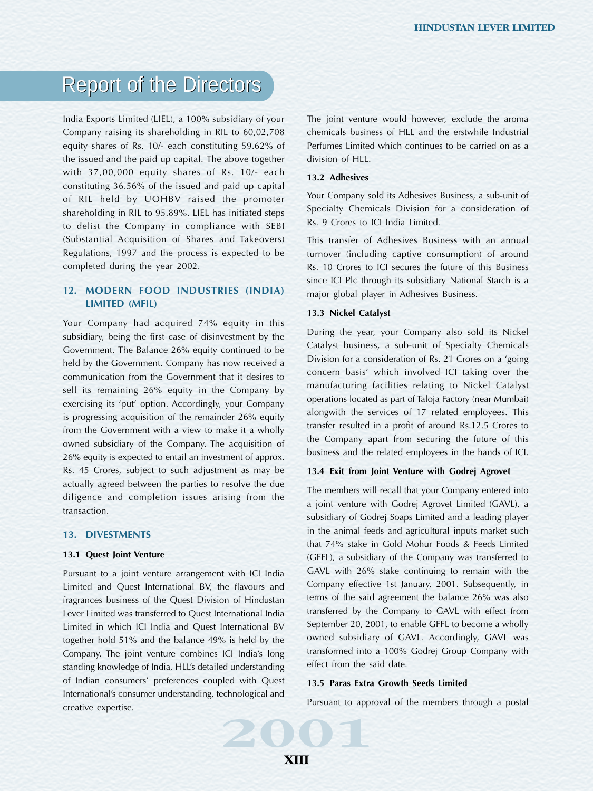India Exports Limited (LIEL), a 100% subsidiary of your Company raising its shareholding in RIL to 60,02,708 equity shares of Rs. 10/- each constituting 59.62% of the issued and the paid up capital. The above together with 37,00,000 equity shares of Rs. 10/- each constituting 36.56% of the issued and paid up capital of RIL held by UOHBV raised the promoter shareholding in RIL to 95.89%. LIEL has initiated steps to delist the Company in compliance with SEBI (Substantial Acquisition of Shares and Takeovers) Regulations, 1997 and the process is expected to be completed during the year 2002.

# **12. MODERN FOOD INDUSTRIES (INDIA) LIMITED (MFIL)**

Your Company had acquired 74% equity in this subsidiary, being the first case of disinvestment by the Government. The Balance 26% equity continued to be held by the Government. Company has now received a communication from the Government that it desires to sell its remaining 26% equity in the Company by exercising its 'put' option. Accordingly, your Company is progressing acquisition of the remainder 26% equity from the Government with a view to make it a wholly owned subsidiary of the Company. The acquisition of 26% equity is expected to entail an investment of approx. Rs. 45 Crores, subject to such adjustment as may be actually agreed between the parties to resolve the due diligence and completion issues arising from the transaction.

#### **13. DIVESTMENTS**

#### **13.1 Quest Joint Venture**

Pursuant to appr Pursuant to a joint venture arrangement with ICI India Limited and Quest International BV, the flavours and fragrances business of the Quest Division of Hindustan Lever Limited was transferred to Quest International India Limited in which ICI India and Quest International BV together hold 51% and the balance 49% is held by the Company. The joint venture combines ICI India's long standing knowledge of India, HLL's detailed understanding of Indian consumers' preferences coupled with Quest International's consumer understanding, technological and creative expertise.

The joint venture would however, exclude the aroma chemicals business of HLL and the erstwhile Industrial Perfumes Limited which continues to be carried on as a division of HLL.

# **13.2 Adhesives**

Your Company sold its Adhesives Business, a sub-unit of Specialty Chemicals Division for a consideration of Rs. 9 Crores to ICI India Limited.

This transfer of Adhesives Business with an annual turnover (including captive consumption) of around Rs. 10 Crores to ICI secures the future of this Business since ICI Plc through its subsidiary National Starch is a major global player in Adhesives Business.

#### **13.3 Nickel Catalyst**

During the year, your Company also sold its Nickel Catalyst business, a sub-unit of Specialty Chemicals Division for a consideration of Rs. 21 Crores on a 'going concern basis' which involved ICI taking over the manufacturing facilities relating to Nickel Catalyst operations located as part of Taloja Factory (near Mumbai) alongwith the services of 17 related employees. This transfer resulted in a profit of around Rs.12.5 Crores to the Company apart from securing the future of this business and the related employees in the hands of ICI.

# **13.4 Exit from Joint Venture with Godrej Agrovet**

The members will recall that your Company entered into a joint venture with Godrej Agrovet Limited (GAVL), a subsidiary of Godrej Soaps Limited and a leading player in the animal feeds and agricultural inputs market such that 74% stake in Gold Mohur Foods & Feeds Limited (GFFL), a subsidiary of the Company was transferred to GAVL with 26% stake continuing to remain with the Company effective 1st January, 2001. Subsequently, in terms of the said agreement the balance 26% was also transferred by the Company to GAVL with effect from September 20, 2001, to enable GFFL to become a wholly owned subsidiary of GAVL. Accordingly, GAVL was transformed into a 100% Godrej Group Company with effect from the said date.

#### **13.5 Paras Extra Growth Seeds Limited**

Pursuant to approval of the members through a postal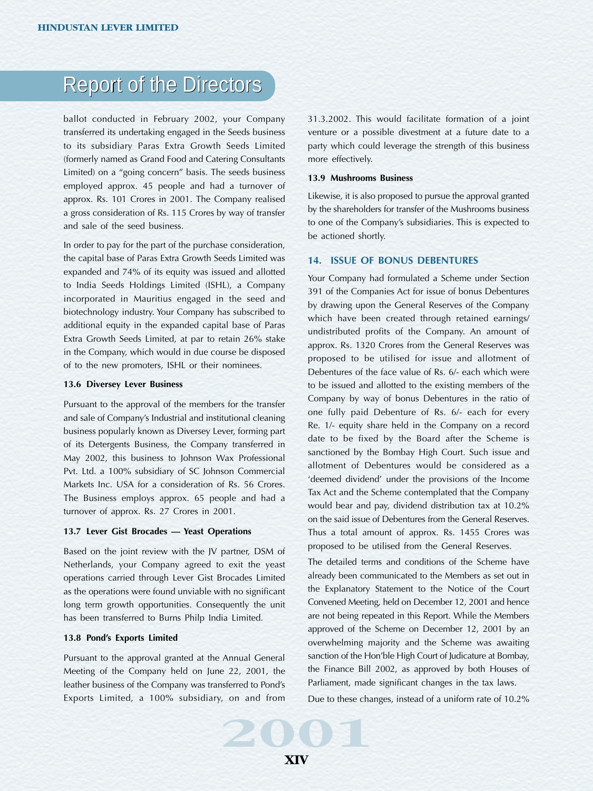ballot conducted in February 2002, your Company transferred its undertaking engaged in the Seeds business to its subsidiary Paras Extra Growth Seeds Limited (formerly named as Grand Food and Catering Consultants Limited) on a "going concern" basis. The seeds business employed approx. 45 people and had a turnover of approx. Rs. 101 Crores in 2001. The Company realised a gross consideration of Rs. 115 Crores by way of transfer and sale of the seed business.

In order to pay for the part of the purchase consideration, the capital base of Paras Extra Growth Seeds Limited was expanded and 74% of its equity was issued and allotted to India Seeds Holdings Limited (ISHL), a Company incorporated in Mauritius engaged in the seed and biotechnology industry. Your Company has subscribed to additional equity in the expanded capital base of Paras Extra Growth Seeds Limited, at par to retain 26% stake in the Company, which would in due course be disposed of to the new promoters, ISHL or their nominees.

#### **13.6 Diversey Lever Business**

Pursuant to the approval of the members for the transfer and sale of Company's Industrial and institutional cleaning business popularly known as Diversey Lever, forming part of its Detergents Business, the Company transferred in May 2002, this business to Johnson Wax Professional Pvt. Ltd. a 100% subsidiary of SC Johnson Commercial Markets Inc. USA for a consideration of Rs. 56 Crores. The Business employs approx. 65 people and had a turnover of approx. Rs. 27 Crores in 2001.

#### **13.7 Lever Gist Brocades — Yeast Operations**

Based on the joint review with the JV partner, DSM of Netherlands, your Company agreed to exit the yeast operations carried through Lever Gist Brocades Limited as the operations were found unviable with no significant long term growth opportunities. Consequently the unit has been transferred to Burns Philp India Limited.

# **13.8 Pond's Exports Limited**

Pursuant to the approval granted at the Annual General Meeting of the Company held on June 22, 2001, the leather business of the Company was transferred to Pond's Exports Limited, a 100% subsidiary, on and from

31.3.2002. This would facilitate formation of a joint venture or a possible divestment at a future date to a party which could leverage the strength of this business more effectively.

#### **13.9 Mushrooms Business**

Likewise, it is also proposed to pursue the approval granted by the shareholders for transfer of the Mushrooms business to one of the Company's subsidiaries. This is expected to be actioned shortly.

#### **14. ISSUE OF BONUS DEBENTURES**

Your Company had formulated a Scheme under Section 391 of the Companies Act for issue of bonus Debentures by drawing upon the General Reserves of the Company which have been created through retained earnings/ undistributed profits of the Company. An amount of approx. Rs. 1320 Crores from the General Reserves was proposed to be utilised for issue and allotment of Debentures of the face value of Rs. 6/- each which were to be issued and allotted to the existing members of the Company by way of bonus Debentures in the ratio of one fully paid Debenture of Rs. 6/- each for every Re. 1/- equity share held in the Company on a record date to be fixed by the Board after the Scheme is sanctioned by the Bombay High Court. Such issue and allotment of Debentures would be considered as a 'deemed dividend' under the provisions of the Income Tax Act and the Scheme contemplated that the Company would bear and pay, dividend distribution tax at 10.2% on the said issue of Debentures from the General Reserves. Thus a total amount of approx. Rs. 1455 Crores was proposed to be utilised from the General Reserves.

The detailed terms and conditions of the Scheme have already been communicated to the Members as set out in the Explanatory Statement to the Notice of the Court Convened Meeting, held on December 12, 2001 and hence are not being repeated in this Report. While the Members approved of the Scheme on December 12, 2001 by an overwhelming majority and the Scheme was awaiting sanction of the Hon'ble High Court of Judicature at Bombay, the Finance Bill 2002, as approved by both Houses of Parliament, made significant changes in the tax laws.

Due to these changes, instead of a uniform rate of 10.2%

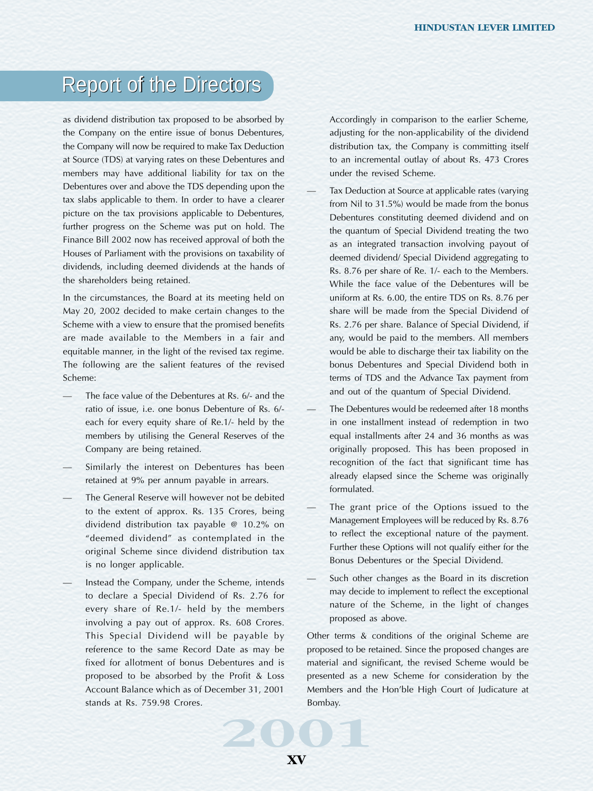as dividend distribution tax proposed to be absorbed by the Company on the entire issue of bonus Debentures, the Company will now be required to make Tax Deduction at Source (TDS) at varying rates on these Debentures and members may have additional liability for tax on the Debentures over and above the TDS depending upon the tax slabs applicable to them. In order to have a clearer picture on the tax provisions applicable to Debentures, further progress on the Scheme was put on hold. The Finance Bill 2002 now has received approval of both the Houses of Parliament with the provisions on taxability of dividends, including deemed dividends at the hands of the shareholders being retained.

In the circumstances, the Board at its meeting held on May 20, 2002 decided to make certain changes to the Scheme with a view to ensure that the promised benefits are made available to the Members in a fair and equitable manner, in the light of the revised tax regime. The following are the salient features of the revised Scheme:

- The face value of the Debentures at Rs. 6/- and the ratio of issue, i.e. one bonus Debenture of Rs. 6/ each for every equity share of Re.1/- held by the members by utilising the General Reserves of the Company are being retained.
- Similarly the interest on Debentures has been retained at 9% per annum payable in arrears.
- The General Reserve will however not be debited to the extent of approx. Rs. 135 Crores, being dividend distribution tax payable @ 10.2% on "deemed dividend" as contemplated in the original Scheme since dividend distribution tax is no longer applicable.
- Instead the Company, under the Scheme, intends to declare a Special Dividend of Rs. 2.76 for every share of Re.1/- held by the members involving a pay out of approx. Rs. 608 Crores. This Special Dividend will be payable by reference to the same Record Date as may be fixed for allotment of bonus Debentures and is proposed to be absorbed by the Profit & Loss Account Balance which as of December 31, 2001 stands at Rs. 759.98 Crores.

Accordingly in comparison to the earlier Scheme, adjusting for the non-applicability of the dividend distribution tax, the Company is committing itself to an incremental outlay of about Rs. 473 Crores under the revised Scheme.

- Tax Deduction at Source at applicable rates (varying from Nil to 31.5%) would be made from the bonus Debentures constituting deemed dividend and on the quantum of Special Dividend treating the two as an integrated transaction involving payout of deemed dividend/ Special Dividend aggregating to Rs. 8.76 per share of Re. 1/- each to the Members. While the face value of the Debentures will be uniform at Rs. 6.00, the entire TDS on Rs. 8.76 per share will be made from the Special Dividend of Rs. 2.76 per share. Balance of Special Dividend, if any, would be paid to the members. All members would be able to discharge their tax liability on the bonus Debentures and Special Dividend both in terms of TDS and the Advance Tax payment from and out of the quantum of Special Dividend.
- The Debentures would be redeemed after 18 months in one installment instead of redemption in two equal installments after 24 and 36 months as was originally proposed. This has been proposed in recognition of the fact that significant time has already elapsed since the Scheme was originally formulated.
- The grant price of the Options issued to the Management Employees will be reduced by Rs. 8.76 to reflect the exceptional nature of the payment. Further these Options will not qualify either for the Bonus Debentures or the Special Dividend.
- Such other changes as the Board in its discretion may decide to implement to reflect the exceptional nature of the Scheme, in the light of changes proposed as above.

Bombay.<br> **2001** Other terms & conditions of the original Scheme are proposed to be retained. Since the proposed changes are material and significant, the revised Scheme would be presented as a new Scheme for consideration by the Members and the Hon'ble High Court of Judicature at Bombay.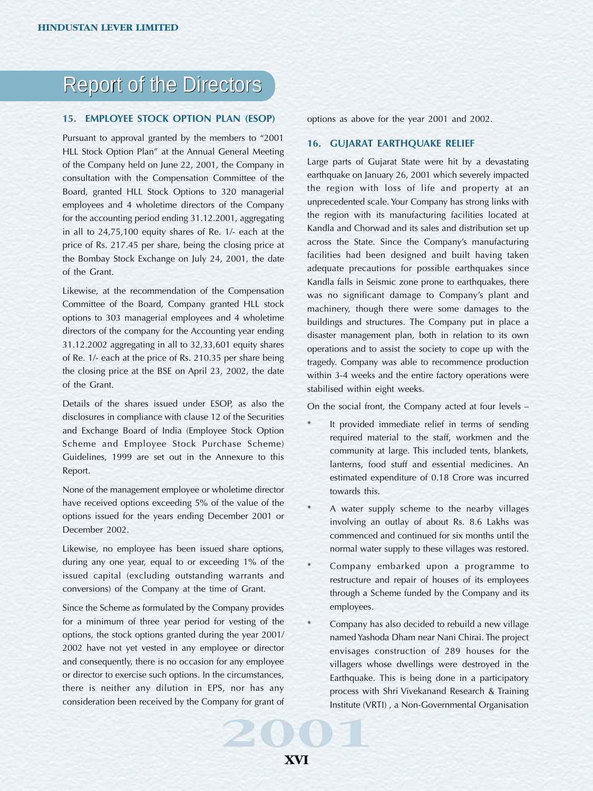#### **15. EMPLOYEE STOCK OPTION PLAN (ESOP)**

Pursuant to approval granted by the members to "2001 HLL Stock Option Plan" at the Annual General Meeting of the Company held on June 22, 2001, the Company in consultation with the Compensation Committee of the Board, granted HLL Stock Options to 320 managerial employees and 4 wholetime directors of the Company for the accounting period ending 31.12.2001, aggregating in all to 24,75,100 equity shares of Re. 1/- each at the price of Rs. 217.45 per share, being the closing price at the Bombay Stock Exchange on July 24, 2001, the date of the Grant.

Likewise, at the recommendation of the Compensation Committee of the Board, Company granted HLL stock options to 303 managerial employees and 4 wholetime directors of the company for the Accounting year ending 31.12.2002 aggregating in all to 32,33,601 equity shares of Re. 1/- each at the price of Rs. 210.35 per share being the closing price at the BSE on April 23, 2002, the date of the Grant.

Details of the shares issued under ESOP, as also the disclosures in compliance with clause 12 of the Securities and Exchange Board of India (Employee Stock Option Scheme and Employee Stock Purchase Scheme) Guidelines, 1999 are set out in the Annexure to this Report.

None of the management employee or wholetime director have received options exceeding 5% of the value of the options issued for the years ending December 2001 or December 2002.

Likewise, no employee has been issued share options, during any one year, equal to or exceeding 1% of the issued capital (excluding outstanding warrants and conversions) of the Company at the time of Grant.

Since the Scheme as formulated by the Company provides for a minimum of three year period for vesting of the options, the stock options granted during the year 2001/ 2002 have not yet vested in any employee or director and consequently, there is no occasion for any employee or director to exercise such options. In the circumstances, there is neither any dilution in EPS, nor has any consideration been received by the Company for grant of

options as above for the year 2001 and 2002.

### **16. GUJARAT EARTHQUAKE RELIEF**

Large parts of Gujarat State were hit by a devastating earthquake on January 26, 2001 which severely impacted the region with loss of life and property at an unprecedented scale. Your Company has strong links with the region with its manufacturing facilities located at Kandla and Chorwad and its sales and distribution set up across the State. Since the Company's manufacturing facilities had been designed and built having taken adequate precautions for possible earthquakes since Kandla falls in Seismic zone prone to earthquakes, there was no significant damage to Company's plant and machinery, though there were some damages to the buildings and structures. The Company put in place a disaster management plan, both in relation to its own operations and to assist the society to cope up with the tragedy. Company was able to recommence production within 3-4 weeks and the entire factory operations were stabilised within eight weeks.

On the social front, the Company acted at four levels –

- It provided immediate relief in terms of sending required material to the staff, workmen and the community at large. This included tents, blankets, lanterns, food stuff and essential medicines. An estimated expenditure of 0.18 Crore was incurred towards this.
- A water supply scheme to the nearby villages involving an outlay of about Rs. 8.6 Lakhs was commenced and continued for six months until the normal water supply to these villages was restored.
- Company embarked upon a programme to restructure and repair of houses of its employees through a Scheme funded by the Company and its employees.
- pany for grant of<br>**2001**<br>**2001** Company has also decided to rebuild a new village named Yashoda Dham near Nani Chirai. The project envisages construction of 289 houses for the villagers whose dwellings were destroyed in the Earthquake. This is being done in a participatory process with Shri Vivekanand Research & Training Institute (VRTI) , a Non-Governmental Organisation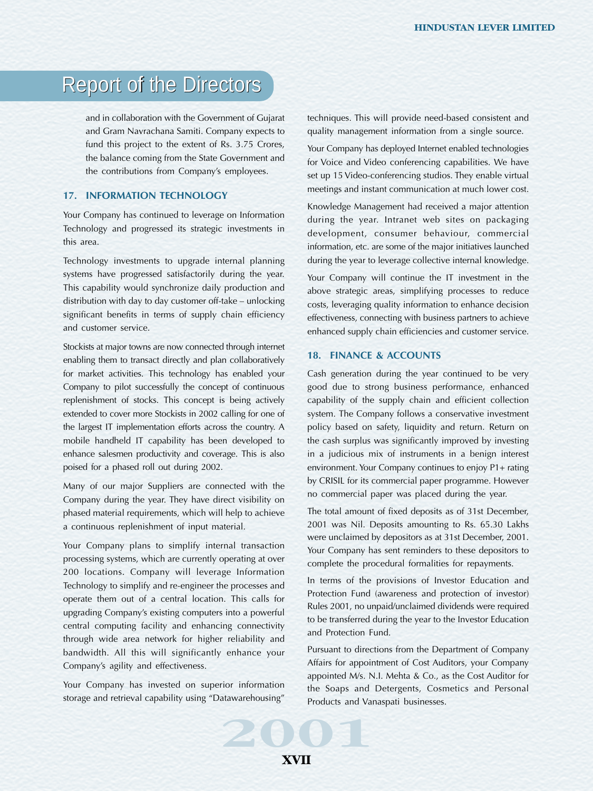and in collaboration with the Government of Gujarat and Gram Navrachana Samiti. Company expects to fund this project to the extent of Rs. 3.75 Crores, the balance coming from the State Government and the contributions from Company's employees.

# **17. INFORMATION TECHNOLOGY**

Your Company has continued to leverage on Information Technology and progressed its strategic investments in this area.

Technology investments to upgrade internal planning systems have progressed satisfactorily during the year. This capability would synchronize daily production and distribution with day to day customer off-take – unlocking significant benefits in terms of supply chain efficiency and customer service.

Stockists at major towns are now connected through internet enabling them to transact directly and plan collaboratively for market activities. This technology has enabled your Company to pilot successfully the concept of continuous replenishment of stocks. This concept is being actively extended to cover more Stockists in 2002 calling for one of the largest IT implementation efforts across the country. A mobile handheld IT capability has been developed to enhance salesmen productivity and coverage. This is also poised for a phased roll out during 2002.

Many of our major Suppliers are connected with the Company during the year. They have direct visibility on phased material requirements, which will help to achieve a continuous replenishment of input material.

Your Company plans to simplify internal transaction processing systems, which are currently operating at over 200 locations. Company will leverage Information Technology to simplify and re-engineer the processes and operate them out of a central location. This calls for upgrading Company's existing computers into a powerful central computing facility and enhancing connectivity through wide area network for higher reliability and bandwidth. All this will significantly enhance your Company's agility and effectiveness.

Your Company has invested on superior information storage and retrieval capability using "Datawarehousing" techniques. This will provide need-based consistent and quality management information from a single source.

Your Company has deployed Internet enabled technologies for Voice and Video conferencing capabilities. We have set up 15 Video-conferencing studios. They enable virtual meetings and instant communication at much lower cost.

Knowledge Management had received a major attention during the year. Intranet web sites on packaging development, consumer behaviour, commercial information, etc. are some of the major initiatives launched during the year to leverage collective internal knowledge.

Your Company will continue the IT investment in the above strategic areas, simplifying processes to reduce costs, leveraging quality information to enhance decision effectiveness, connecting with business partners to achieve enhanced supply chain efficiencies and customer service.

### **18. FINANCE & ACCOUNTS**

Cash generation during the year continued to be very good due to strong business performance, enhanced capability of the supply chain and efficient collection system. The Company follows a conservative investment policy based on safety, liquidity and return. Return on the cash surplus was significantly improved by investing in a judicious mix of instruments in a benign interest environment. Your Company continues to enjoy P1+ rating by CRISIL for its commercial paper programme. However no commercial paper was placed during the year.

The total amount of fixed deposits as of 31st December, 2001 was Nil. Deposits amounting to Rs. 65.30 Lakhs were unclaimed by depositors as at 31st December, 2001. Your Company has sent reminders to these depositors to complete the procedural formalities for repayments.

In terms of the provisions of Investor Education and Protection Fund (awareness and protection of investor) Rules 2001, no unpaid/unclaimed dividends were required to be transferred during the year to the Investor Education and Protection Fund.

atawarehousing" Products and Varianus of Products and Varianus of Products and Varianus of Products and Varianus of Products and Varianus of Products and Varianus of Products and Varianus of Products and Varianus of Produc Pursuant to directions from the Department of Company Affairs for appointment of Cost Auditors, your Company appointed M/s. N.I. Mehta & Co., as the Cost Auditor for the Soaps and Detergents, Cosmetics and Personal Products and Vanaspati businesses.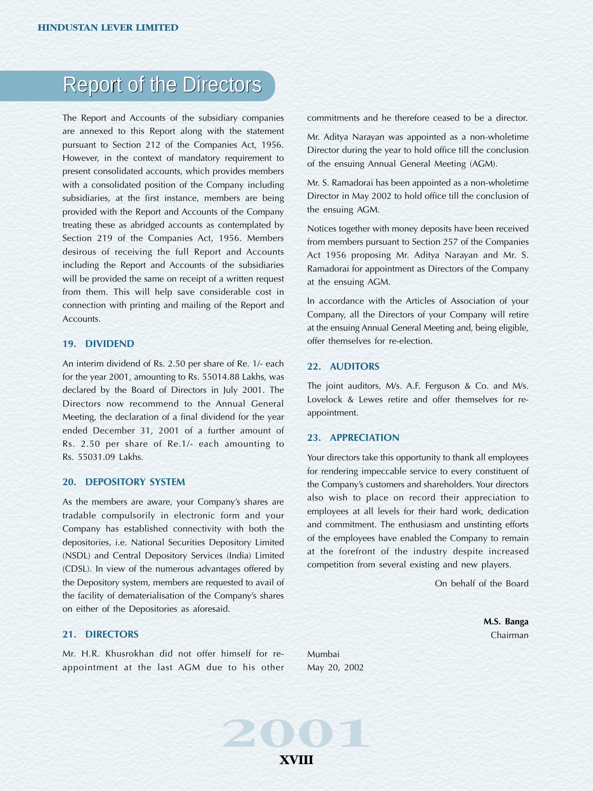The Report and Accounts of the subsidiary companies are annexed to this Report along with the statement pursuant to Section 212 of the Companies Act, 1956. However, in the context of mandatory requirement to present consolidated accounts, which provides members with a consolidated position of the Company including subsidiaries, at the first instance, members are being provided with the Report and Accounts of the Company treating these as abridged accounts as contemplated by Section 219 of the Companies Act, 1956. Members desirous of receiving the full Report and Accounts including the Report and Accounts of the subsidiaries will be provided the same on receipt of a written request from them. This will help save considerable cost in connection with printing and mailing of the Report and Accounts.

### **19. DIVIDEND**

An interim dividend of Rs. 2.50 per share of Re. 1/- each for the year 2001, amounting to Rs. 55014.88 Lakhs, was declared by the Board of Directors in July 2001. The Directors now recommend to the Annual General Meeting, the declaration of a final dividend for the year ended December 31, 2001 of a further amount of Rs. 2.50 per share of Re.1/- each amounting to Rs. 55031.09 Lakhs.

# **20. DEPOSITORY SYSTEM**

As the members are aware, your Company's shares are tradable compulsorily in electronic form and your Company has established connectivity with both the depositories, i.e. National Securities Depository Limited (NSDL) and Central Depository Services (India) Limited (CDSL). In view of the numerous advantages offered by the Depository system, members are requested to avail of the facility of dematerialisation of the Company's shares on either of the Depositories as aforesaid.

## **21. DIRECTORS**

Mr. H.R. Khusrokhan did not offer himself for reappointment at the last AGM due to his other commitments and he therefore ceased to be a director.

Mr. Aditya Narayan was appointed as a non-wholetime Director during the year to hold office till the conclusion of the ensuing Annual General Meeting (AGM).

Mr. S. Ramadorai has been appointed as a non-wholetime Director in May 2002 to hold office till the conclusion of the ensuing AGM.

Notices together with money deposits have been received from members pursuant to Section 257 of the Companies Act 1956 proposing Mr. Aditya Narayan and Mr. S. Ramadorai for appointment as Directors of the Company at the ensuing AGM.

In accordance with the Articles of Association of your Company, all the Directors of your Company will retire at the ensuing Annual General Meeting and, being eligible, offer themselves for re-election.

### **22. AUDITORS**

The joint auditors, M/s. A.F. Ferguson & Co. and M/s. Lovelock & Lewes retire and offer themselves for reappointment.

#### **23. APPRECIATION**

Your directors take this opportunity to thank all employees for rendering impeccable service to every constituent of the Company's customers and shareholders. Your directors also wish to place on record their appreciation to employees at all levels for their hard work, dedication and commitment. The enthusiasm and unstinting efforts of the employees have enabled the Company to remain at the forefront of the industry despite increased competition from several existing and new players.

On behalf of the Board

**M.S. Banga** Chairman

Mumbai May 20, 2002

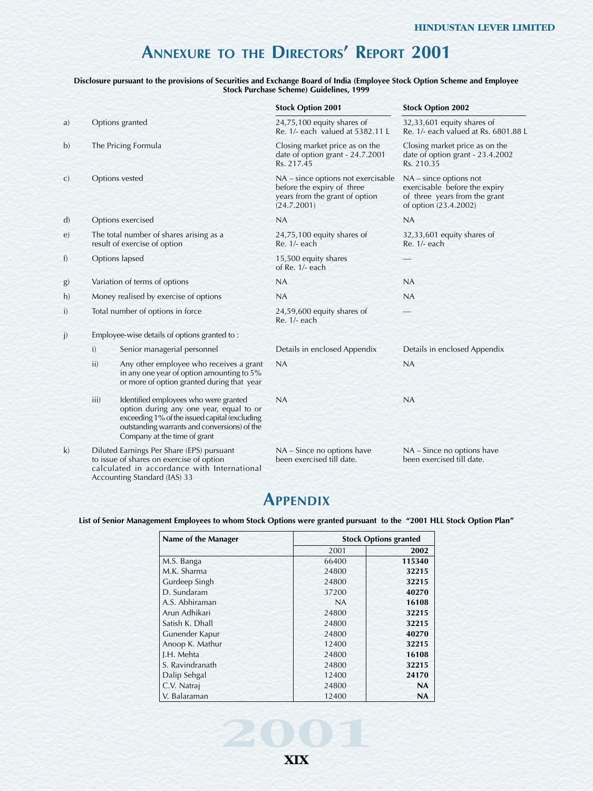# **ANNEXURE TO THE DIRECTORS' REPORT 2001**

#### **Disclosure pursuant to the provisions of Securities and Exchange Board of India (Employee Stock Option Scheme and Employee Stock Purchase Scheme) Guidelines, 1999**

|              |      |                                                                                                                                                                                                                   | <b>Stock Option 2001</b>                                                                                          | <b>Stock Option 2002</b>                                                                                            |
|--------------|------|-------------------------------------------------------------------------------------------------------------------------------------------------------------------------------------------------------------------|-------------------------------------------------------------------------------------------------------------------|---------------------------------------------------------------------------------------------------------------------|
| a)           |      | Options granted                                                                                                                                                                                                   | 24,75,100 equity shares of<br>Re. 1/- each valued at 5382.11 L                                                    | 32,33,601 equity shares of<br>Re. 1/- each valued at Rs. 6801.88 L                                                  |
| b)           |      | The Pricing Formula                                                                                                                                                                                               | Closing market price as on the<br>date of option grant - 24.7.2001<br>Rs. 217.45                                  | Closing market price as on the<br>date of option grant - 23.4.2002<br>Rs. 210.35                                    |
| $\mathbf{C}$ |      | Options vested                                                                                                                                                                                                    | NA – since options not exercisable<br>before the expiry of three<br>years from the grant of option<br>(24.7.2001) | $NA$ – since options not<br>exercisable before the expiry<br>of three years from the grant<br>of option (23.4.2002) |
| $\mathbf{d}$ |      | Options exercised                                                                                                                                                                                                 | NA                                                                                                                | NA                                                                                                                  |
| e)           |      | The total number of shares arising as a<br>result of exercise of option                                                                                                                                           | $24,75,100$ equity shares of<br>Re. 1/- each                                                                      | 32,33,601 equity shares of<br>Re. 1/- each                                                                          |
| f)           |      | Options lapsed                                                                                                                                                                                                    | 15,500 equity shares<br>of Re. 1/- each                                                                           |                                                                                                                     |
| $\mathbf{g}$ |      | Variation of terms of options                                                                                                                                                                                     | <b>NA</b>                                                                                                         | <b>NA</b>                                                                                                           |
| h)           |      | Money realised by exercise of options                                                                                                                                                                             | <b>NA</b>                                                                                                         | <b>NA</b>                                                                                                           |
| i)           |      | Total number of options in force                                                                                                                                                                                  | 24,59,600 equity shares of<br>Re. 1/- each                                                                        |                                                                                                                     |
| j)           |      | Employee-wise details of options granted to:                                                                                                                                                                      |                                                                                                                   |                                                                                                                     |
|              | i)   | Senior managerial personnel                                                                                                                                                                                       | Details in enclosed Appendix                                                                                      | Details in enclosed Appendix                                                                                        |
|              | ii)  | Any other employee who receives a grant<br>in any one year of option amounting to 5%<br>or more of option granted during that year                                                                                | NA                                                                                                                | NA                                                                                                                  |
|              | iii) | Identified employees who were granted<br>option during any one year, equal to or<br>exceeding 1% of the issued capital (excluding<br>outstanding warrants and conversions) of the<br>Company at the time of grant | NA                                                                                                                | <b>NA</b>                                                                                                           |
| k)           |      | Diluted Earnings Per Share (EPS) pursuant<br>to issue of shares on exercise of option<br>calculated in accordance with International                                                                              | NA - Since no options have<br>been exercised till date.                                                           | NA - Since no options have<br>been exercised till date.                                                             |

# **APPENDIX**

Accounting Standard (IAS) 33

**List of Senior Management Employees to whom Stock Options were granted pursuant to the "2001 HLL Stock Option Plan"**

| Name of the Manager | <b>Stock Options granted</b> |           |
|---------------------|------------------------------|-----------|
|                     | 2001                         | 2002      |
| M.S. Banga          | 66400                        | 115340    |
| M.K. Sharma         | 24800                        | 32215     |
| Gurdeep Singh       | 24800                        | 32215     |
| D. Sundaram         | 37200                        | 40270     |
| A.S. Abhiraman      | NA                           | 16108     |
| Arun Adhikari       | 24800                        | 32215     |
| Satish K. Dhall     | 24800                        | 32215     |
| Gunender Kapur      | 24800                        | 40270     |
| Anoop K. Mathur     | 12400                        | 32215     |
| J.H. Mehta          | 24800                        | 16108     |
| S. Ravindranath     | 24800                        | 32215     |
| Dalip Sehgal        | 12400                        | 24170     |
| C.V. Natraj         | 24800                        | <b>NA</b> |
| V. Balaraman        | 12400                        | <b>NA</b> |



**2001**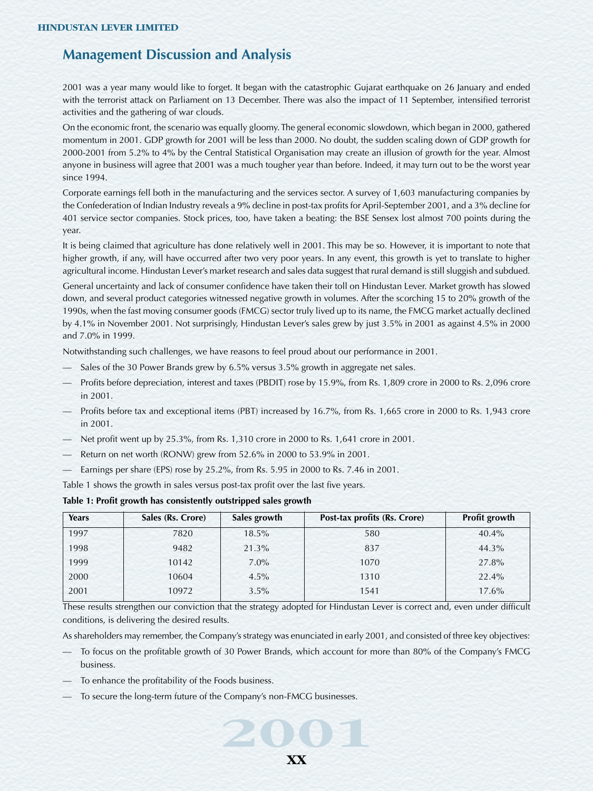# **Management Discussion and Analysis**

2001 was a year many would like to forget. It began with the catastrophic Gujarat earthquake on 26 January and ended with the terrorist attack on Parliament on 13 December. There was also the impact of 11 September, intensified terrorist activities and the gathering of war clouds.

On the economic front, the scenario was equally gloomy. The general economic slowdown, which began in 2000, gathered momentum in 2001. GDP growth for 2001 will be less than 2000. No doubt, the sudden scaling down of GDP growth for 2000-2001 from 5.2% to 4% by the Central Statistical Organisation may create an illusion of growth for the year. Almost anyone in business will agree that 2001 was a much tougher year than before. Indeed, it may turn out to be the worst year since 1994.

Corporate earnings fell both in the manufacturing and the services sector. A survey of 1,603 manufacturing companies by the Confederation of Indian Industry reveals a 9% decline in post-tax profits for April-September 2001, and a 3% decline for 401 service sector companies. Stock prices, too, have taken a beating: the BSE Sensex lost almost 700 points during the year.

It is being claimed that agriculture has done relatively well in 2001. This may be so. However, it is important to note that higher growth, if any, will have occurred after two very poor years. In any event, this growth is yet to translate to higher agricultural income. Hindustan Lever's market research and sales data suggest that rural demand is still sluggish and subdued.

General uncertainty and lack of consumer confidence have taken their toll on Hindustan Lever. Market growth has slowed down, and several product categories witnessed negative growth in volumes. After the scorching 15 to 20% growth of the 1990s, when the fast moving consumer goods (FMCG) sector truly lived up to its name, the FMCG market actually declined by 4.1% in November 2001. Not surprisingly, Hindustan Lever's sales grew by just 3.5% in 2001 as against 4.5% in 2000 and 7.0% in 1999.

Notwithstanding such challenges, we have reasons to feel proud about our performance in 2001.

- Sales of the 30 Power Brands grew by 6.5% versus 3.5% growth in aggregate net sales.
- Profits before depreciation, interest and taxes (PBDIT) rose by 15.9%, from Rs. 1,809 crore in 2000 to Rs. 2,096 crore in 2001.
- Profits before tax and exceptional items (PBT) increased by 16.7%, from Rs. 1,665 crore in 2000 to Rs. 1,943 crore in 2001.
- Net profit went up by 25.3%, from Rs. 1,310 crore in 2000 to Rs. 1,641 crore in 2001.
- Return on net worth (RONW) grew from 52.6% in 2000 to 53.9% in 2001.
- Earnings per share (EPS) rose by 25.2%, from Rs. 5.95 in 2000 to Rs. 7.46 in 2001.

Table 1 shows the growth in sales versus post-tax profit over the last five years.

| Years | Sales (Rs. Crore) | Sales growth | Post-tax profits (Rs. Crore) | <b>Profit growth</b> |
|-------|-------------------|--------------|------------------------------|----------------------|
| 1997  | 7820              | $18.5\%$     | 580                          | $40.4\%$             |
| 1998  | 9482              | 21.3%        | 837                          | 44.3%                |
| 1999  | 10142             | $7.0\%$      | 1070                         | 27.8%                |
| 2000  | 10604             | $4.5\%$      | 1310                         | 22.4%                |
| 2001  | 10972             | $3.5\%$      | 1541                         | 17.6%                |

#### **Table 1: Profit growth has consistently outstripped sales growth**

These results strengthen our conviction that the strategy adopted for Hindustan Lever is correct and, even under difficult conditions, is delivering the desired results.

As shareholders may remember, the Company's strategy was enunciated in early 2001, and consisted of three key objectives:

- To focus on the profitable growth of 30 Power Brands, which account for more than 80% of the Company's FMCG business.
- To enhance the profitability of the Foods business.
- To secure the long-term future of the Company's non-FMCG businesses.

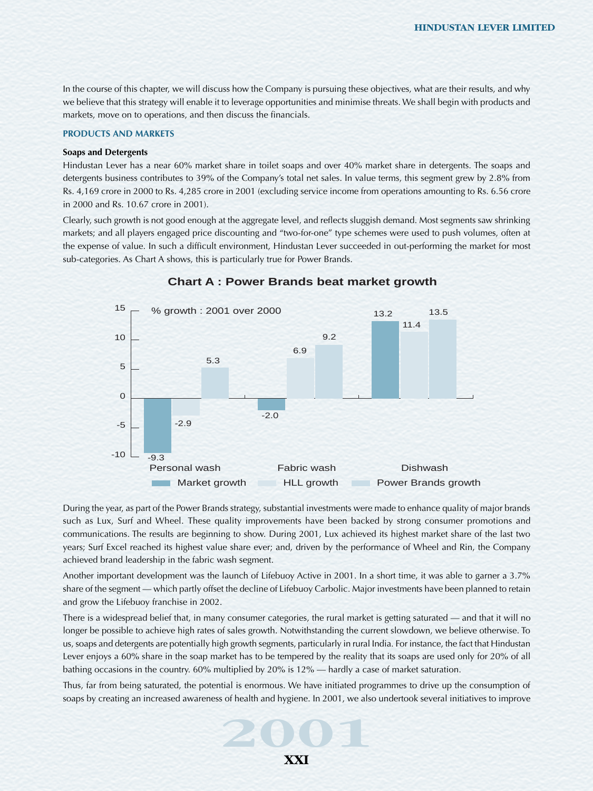In the course of this chapter, we will discuss how the Company is pursuing these objectives, what are their results, and why we believe that this strategy will enable it to leverage opportunities and minimise threats. We shall begin with products and markets, move on to operations, and then discuss the financials.

#### **PRODUCTS AND MARKETS**

#### **Soaps and Detergents**

Hindustan Lever has a near 60% market share in toilet soaps and over 40% market share in detergents. The soaps and detergents business contributes to 39% of the Company's total net sales. In value terms, this segment grew by 2.8% from Rs. 4,169 crore in 2000 to Rs. 4,285 crore in 2001 (excluding service income from operations amounting to Rs. 6.56 crore in 2000 and Rs. 10.67 crore in 2001).

Clearly, such growth is not good enough at the aggregate level, and reflects sluggish demand. Most segments saw shrinking markets; and all players engaged price discounting and "two-for-one" type schemes were used to push volumes, often at the expense of value. In such a difficult environment, Hindustan Lever succeeded in out-performing the market for most sub-categories. As Chart A shows, this is particularly true for Power Brands.



## **Chart A : Power Brands beat market growth**

During the year, as part of the Power Brands strategy, substantial investments were made to enhance quality of major brands such as Lux, Surf and Wheel. These quality improvements have been backed by strong consumer promotions and communications. The results are beginning to show. During 2001, Lux achieved its highest market share of the last two years; Surf Excel reached its highest value share ever; and, driven by the performance of Wheel and Rin, the Company achieved brand leadership in the fabric wash segment.

Another important development was the launch of Lifebuoy Active in 2001. In a short time, it was able to garner a 3.7% share of the segment — which partly offset the decline of Lifebuoy Carbolic. Major investments have been planned to retain and grow the Lifebuoy franchise in 2002.

There is a widespread belief that, in many consumer categories, the rural market is getting saturated — and that it will no longer be possible to achieve high rates of sales growth. Notwithstanding the current slowdown, we believe otherwise. To us, soaps and detergents are potentially high growth segments, particularly in rural India. For instance, the fact that Hindustan Lever enjoys a 60% share in the soap market has to be tempered by the reality that its soaps are used only for 20% of all bathing occasions in the country. 60% multiplied by 20% is 12% — hardly a case of market saturation.

**2001**, we also undertook several initiatives to improve<br>aps by creating an increased awareness of health and hygiene. In 2001, we also undertook several initiatives to improve<br>**2001** Thus, far from being saturated, the potential is enormous. We have initiated programmes to drive up the consumption of

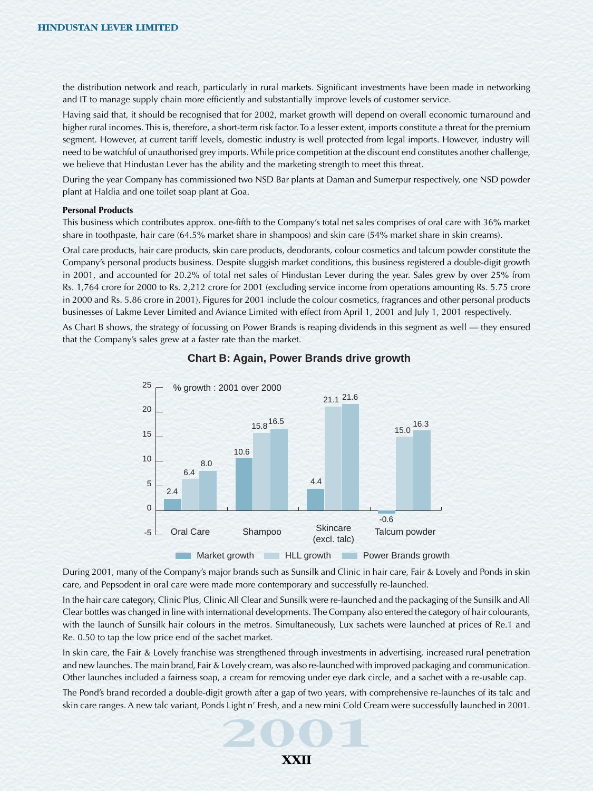the distribution network and reach, particularly in rural markets. Significant investments have been made in networking and IT to manage supply chain more efficiently and substantially improve levels of customer service.

Having said that, it should be recognised that for 2002, market growth will depend on overall economic turnaround and higher rural incomes. This is, therefore, a short-term risk factor. To a lesser extent, imports constitute a threat for the premium segment. However, at current tariff levels, domestic industry is well protected from legal imports. However, industry will need to be watchful of unauthorised grey imports. While price competition at the discount end constitutes another challenge, we believe that Hindustan Lever has the ability and the marketing strength to meet this threat.

During the year Company has commissioned two NSD Bar plants at Daman and Sumerpur respectively, one NSD powder plant at Haldia and one toilet soap plant at Goa.

#### **Personal Products**

This business which contributes approx. one-fifth to the Company's total net sales comprises of oral care with 36% market share in toothpaste, hair care (64.5% market share in shampoos) and skin care (54% market share in skin creams).

Oral care products, hair care products, skin care products, deodorants, colour cosmetics and talcum powder constitute the Company's personal products business. Despite sluggish market conditions, this business registered a double-digit growth in 2001, and accounted for 20.2% of total net sales of Hindustan Lever during the year. Sales grew by over 25% from Rs. 1,764 crore for 2000 to Rs. 2,212 crore for 2001 (excluding service income from operations amounting Rs. 5.75 crore in 2000 and Rs. 5.86 crore in 2001). Figures for 2001 include the colour cosmetics, fragrances and other personal products businesses of Lakme Lever Limited and Aviance Limited with effect from April 1, 2001 and July 1, 2001 respectively.

As Chart B shows, the strategy of focussing on Power Brands is reaping dividends in this segment as well — they ensured that the Company's sales grew at a faster rate than the market.



### **Chart B: Again, Power Brands drive growth**

During 2001, many of the Company's major brands such as Sunsilk and Clinic in hair care, Fair & Lovely and Ponds in skin care, and Pepsodent in oral care were made more contemporary and successfully re-launched.

In the hair care category, Clinic Plus, Clinic All Clear and Sunsilk were re-launched and the packaging of the Sunsilk and All Clear bottles was changed in line with international developments. The Company also entered the category of hair colourants, with the launch of Sunsilk hair colours in the metros. Simultaneously, Lux sachets were launched at prices of Re.1 and Re. 0.50 to tap the low price end of the sachet market.

In skin care, the Fair & Lovely franchise was strengthened through investments in advertising, increased rural penetration and new launches. The main brand, Fair & Lovely cream, was also re-launched with improved packaging and communication. Other launches included a fairness soap, a cream for removing under eye dark circle, and a sachet with a re-usable cap.

**2001**<br>
Skin care ranges. A new talc variant, Ponds Light n' Fresh, and a new mini Cold Cream were successfully launched in 2001. The Pond's brand recorded a double-digit growth after a gap of two years, with comprehensive re-launches of its talc and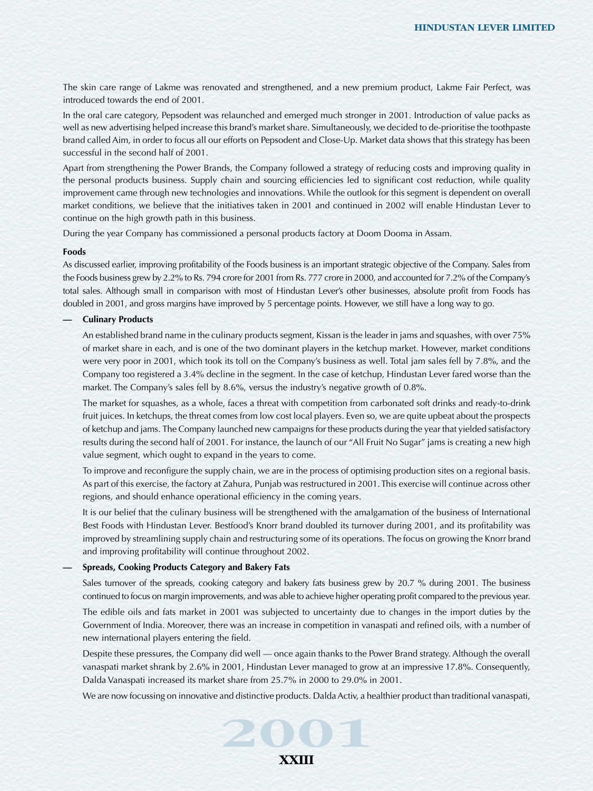The skin care range of Lakme was renovated and strengthened, and a new premium product, Lakme Fair Perfect, was introduced towards the end of 2001.

In the oral care category, Pepsodent was relaunched and emerged much stronger in 2001. Introduction of value packs as well as new advertising helped increase this brand's market share. Simultaneously, we decided to de-prioritise the toothpaste brand called Aim, in order to focus all our efforts on Pepsodent and Close-Up. Market data shows that this strategy has been successful in the second half of 2001.

Apart from strengthening the Power Brands, the Company followed a strategy of reducing costs and improving quality in the personal products business. Supply chain and sourcing efficiencies led to significant cost reduction, while quality improvement came through new technologies and innovations. While the outlook for this segment is dependent on overall market conditions, we believe that the initiatives taken in 2001 and continued in 2002 will enable Hindustan Lever to continue on the high growth path in this business.

During the year Company has commissioned a personal products factory at Doom Dooma in Assam.

#### **Foods**

As discussed earlier, improving profitability of the Foods business is an important strategic objective of the Company. Sales from the Foods business grew by 2.2% to Rs. 794 crore for 2001 from Rs. 777 crore in 2000, and accounted for 7.2% of the Company's total sales. Although small in comparison with most of Hindustan Lever's other businesses, absolute profit from Foods has doubled in 2001, and gross margins have improved by 5 percentage points. However, we still have a long way to go.

### **— Culinary Products**

An established brand name in the culinary products segment, Kissan is the leader in jams and squashes, with over 75% of market share in each, and is one of the two dominant players in the ketchup market. However, market conditions were very poor in 2001, which took its toll on the Company's business as well. Total jam sales fell by 7.8%, and the Company too registered a 3.4% decline in the segment. In the case of ketchup, Hindustan Lever fared worse than the market. The Company's sales fell by 8.6%, versus the industry's negative growth of 0.8%.

The market for squashes, as a whole, faces a threat with competition from carbonated soft drinks and ready-to-drink fruit juices. In ketchups, the threat comes from low cost local players. Even so, we are quite upbeat about the prospects of ketchup and jams. The Company launched new campaigns for these products during the year that yielded satisfactory results during the second half of 2001. For instance, the launch of our "All Fruit No Sugar" jams is creating a new high value segment, which ought to expand in the years to come.

To improve and reconfigure the supply chain, we are in the process of optimising production sites on a regional basis. As part of this exercise, the factory at Zahura, Punjab was restructured in 2001. This exercise will continue across other regions, and should enhance operational efficiency in the coming years.

It is our belief that the culinary business will be strengthened with the amalgamation of the business of International Best Foods with Hindustan Lever. Bestfood's Knorr brand doubled its turnover during 2001, and its profitability was improved by streamlining supply chain and restructuring some of its operations. The focus on growing the Knorr brand and improving profitability will continue throughout 2002.

#### **— Spreads, Cooking Products Category and Bakery Fats**

Sales turnover of the spreads, cooking category and bakery fats business grew by 20.7 % during 2001. The business continued to focus on margin improvements, and was able to achieve higher operating profit compared to the previous year.

The edible oils and fats market in 2001 was subjected to uncertainty due to changes in the import duties by the Government of India. Moreover, there was an increase in competition in vanaspati and refined oils, with a number of new international players entering the field.

Despite these pressures, the Company did well — once again thanks to the Power Brand strategy. Although the overall vanaspati market shrank by 2.6% in 2001, Hindustan Lever managed to grow at an impressive 17.8%. Consequently, Dalda Vanaspati increased its market share from 25.7% in 2000 to 29.0% in 2001.

We are now focussing on innovative and distinctive products. Dalda Activ, a healthier product than traditional vanaspati,

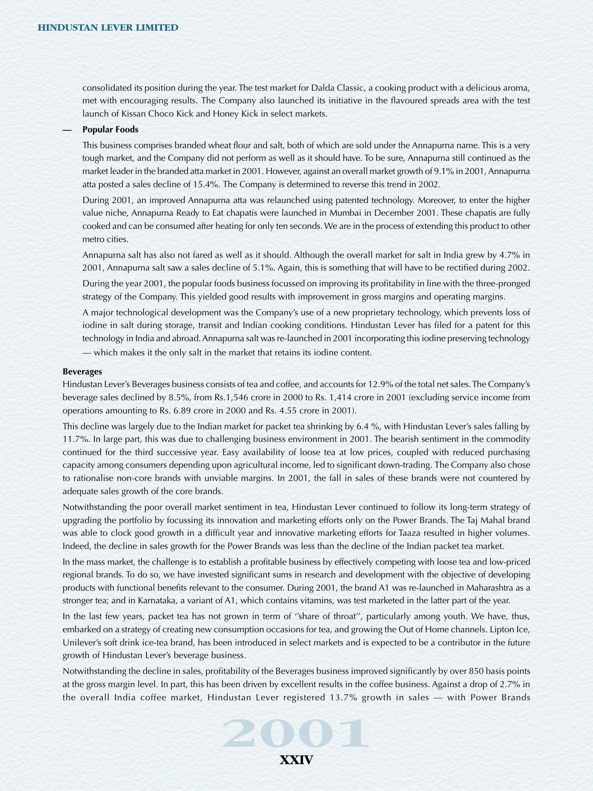consolidated its position during the year. The test market for Dalda Classic, a cooking product with a delicious aroma, met with encouraging results. The Company also launched its initiative in the flavoured spreads area with the test launch of Kissan Choco Kick and Honey Kick in select markets.

#### **— Popular Foods**

This business comprises branded wheat flour and salt, both of which are sold under the Annapurna name. This is a very tough market, and the Company did not perform as well as it should have. To be sure, Annapurna still continued as the market leader in the branded atta market in 2001. However, against an overall market growth of 9.1% in 2001, Annapurna atta posted a sales decline of 15.4%. The Company is determined to reverse this trend in 2002.

During 2001, an improved Annapurna atta was relaunched using patented technology. Moreover, to enter the higher value niche, Annapurna Ready to Eat chapatis were launched in Mumbai in December 2001. These chapatis are fully cooked and can be consumed after heating for only ten seconds. We are in the process of extending this product to other metro cities.

Annapurna salt has also not fared as well as it should. Although the overall market for salt in India grew by 4.7% in 2001, Annapurna salt saw a sales decline of 5.1%. Again, this is something that will have to be rectified during 2002.

During the year 2001, the popular foods business focussed on improving its profitability in line with the three-pronged strategy of the Company. This yielded good results with improvement in gross margins and operating margins.

A major technological development was the Company's use of a new proprietary technology, which prevents loss of iodine in salt during storage, transit and Indian cooking conditions. Hindustan Lever has filed for a patent for this technology in India and abroad. Annapurna salt was re-launched in 2001 incorporating this iodine preserving technology — which makes it the only salt in the market that retains its iodine content.

#### **Beverages**

Hindustan Lever's Beverages business consists of tea and coffee, and accounts for 12.9% of the total net sales. The Company's beverage sales declined by 8.5%, from Rs.1,546 crore in 2000 to Rs. 1,414 crore in 2001 (excluding service income from operations amounting to Rs. 6.89 crore in 2000 and Rs. 4.55 crore in 2001).

This decline was largely due to the Indian market for packet tea shrinking by 6.4 %, with Hindustan Lever's sales falling by 11.7%. In large part, this was due to challenging business environment in 2001. The bearish sentiment in the commodity continued for the third successive year. Easy availability of loose tea at low prices, coupled with reduced purchasing capacity among consumers depending upon agricultural income, led to significant down-trading. The Company also chose to rationalise non-core brands with unviable margins. In 2001, the fall in sales of these brands were not countered by adequate sales growth of the core brands.

Notwithstanding the poor overall market sentiment in tea, Hindustan Lever continued to follow its long-term strategy of upgrading the portfolio by focussing its innovation and marketing efforts only on the Power Brands. The Taj Mahal brand was able to clock good growth in a difficult year and innovative marketing efforts for Taaza resulted in higher volumes. Indeed, the decline in sales growth for the Power Brands was less than the decline of the Indian packet tea market.

In the mass market, the challenge is to establish a profitable business by effectively competing with loose tea and low-priced regional brands. To do so, we have invested significant sums in research and development with the objective of developing products with functional benefits relevant to the consumer. During 2001, the brand A1 was re-launched in Maharashtra as a stronger tea; and in Karnataka, a variant of A1, which contains vitamins, was test marketed in the latter part of the year.

In the last few years, packet tea has not grown in term of ''share of throat'', particularly among youth. We have, thus, embarked on a strategy of creating new consumption occasions for tea, and growing the Out of Home channels. Lipton Ice, Unilever's soft drink ice-tea brand, has been introduced in select markets and is expected to be a contributor in the future growth of Hindustan Lever's beverage business.

the overall India coffee market, Hindustan Lever registered 13.7% growth in sales — with Power Brands<br> **2001**<br> **2003** Notwithstanding the decline in sales, profitability of the Beverages business improved significantly by over 850 basis points at the gross margin level. In part, this has been driven by excellent results in the coffee business. Against a drop of 2.7% in

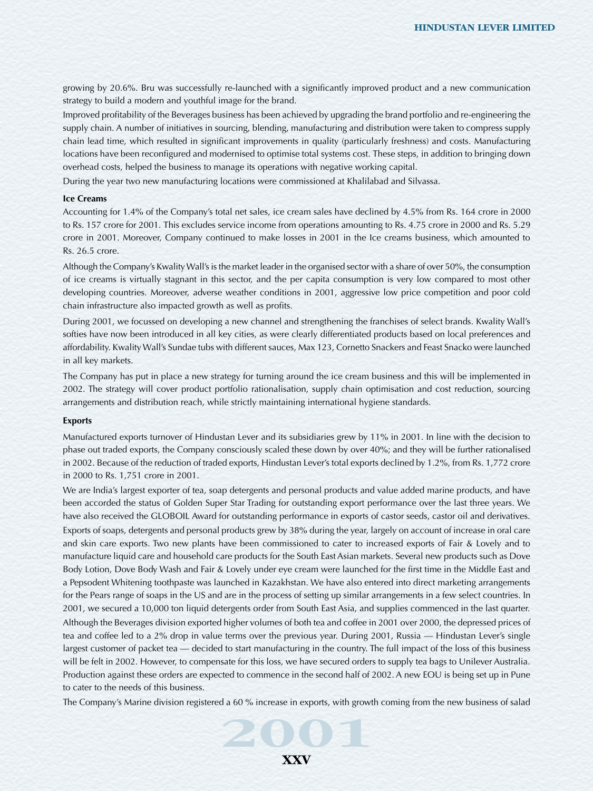growing by 20.6%. Bru was successfully re-launched with a significantly improved product and a new communication strategy to build a modern and youthful image for the brand.

Improved profitability of the Beverages business has been achieved by upgrading the brand portfolio and re-engineering the supply chain. A number of initiatives in sourcing, blending, manufacturing and distribution were taken to compress supply chain lead time, which resulted in significant improvements in quality (particularly freshness) and costs. Manufacturing locations have been reconfigured and modernised to optimise total systems cost. These steps, in addition to bringing down overhead costs, helped the business to manage its operations with negative working capital.

During the year two new manufacturing locations were commissioned at Khalilabad and Silvassa.

# **Ice Creams**

Accounting for 1.4% of the Company's total net sales, ice cream sales have declined by 4.5% from Rs. 164 crore in 2000 to Rs. 157 crore for 2001. This excludes service income from operations amounting to Rs. 4.75 crore in 2000 and Rs. 5.29 crore in 2001. Moreover, Company continued to make losses in 2001 in the Ice creams business, which amounted to Rs. 26.5 crore.

Although the Company's Kwality Wall's is the market leader in the organised sector with a share of over 50%, the consumption of ice creams is virtually stagnant in this sector, and the per capita consumption is very low compared to most other developing countries. Moreover, adverse weather conditions in 2001, aggressive low price competition and poor cold chain infrastructure also impacted growth as well as profits.

During 2001, we focussed on developing a new channel and strengthening the franchises of select brands. Kwality Wall's softies have now been introduced in all key cities, as were clearly differentiated products based on local preferences and affordability. Kwality Wall's Sundae tubs with different sauces, Max 123, Cornetto Snackers and Feast Snacko were launched in all key markets.

The Company has put in place a new strategy for turning around the ice cream business and this will be implemented in 2002. The strategy will cover product portfolio rationalisation, supply chain optimisation and cost reduction, sourcing arrangements and distribution reach, while strictly maintaining international hygiene standards.

#### **Exports**

Manufactured exports turnover of Hindustan Lever and its subsidiaries grew by 11% in 2001. In line with the decision to phase out traded exports, the Company consciously scaled these down by over 40%; and they will be further rationalised in 2002. Because of the reduction of traded exports, Hindustan Lever's total exports declined by 1.2%, from Rs. 1,772 crore in 2000 to Rs. 1,751 crore in 2001.

We are India's largest exporter of tea, soap detergents and personal products and value added marine products, and have been accorded the status of Golden Super Star Trading for outstanding export performance over the last three years. We have also received the GLOBOIL Award for outstanding performance in exports of castor seeds, castor oil and derivatives. Exports of soaps, detergents and personal products grew by 38% during the year, largely on account of increase in oral care and skin care exports. Two new plants have been commissioned to cater to increased exports of Fair & Lovely and to manufacture liquid care and household care products for the South East Asian markets. Several new products such as Dove Body Lotion, Dove Body Wash and Fair & Lovely under eye cream were launched for the first time in the Middle East and a Pepsodent Whitening toothpaste was launched in Kazakhstan. We have also entered into direct marketing arrangements for the Pears range of soaps in the US and are in the process of setting up similar arrangements in a few select countries. In 2001, we secured a 10,000 ton liquid detergents order from South East Asia, and supplies commenced in the last quarter.

Although the Beverages division exported higher volumes of both tea and coffee in 2001 over 2000, the depressed prices of tea and coffee led to a 2% drop in value terms over the previous year. During 2001, Russia — Hindustan Lever's single largest customer of packet tea — decided to start manufacturing in the country. The full impact of the loss of this business will be felt in 2002. However, to compensate for this loss, we have secured orders to supply tea bags to Unilever Australia. Production against these orders are expected to commence in the second half of 2002. A new EOU is being set up in Pune to cater to the needs of this business.

The Company's Marine division registered a 60 % increase in exports, with growth coming from the new business of salad<br> **2001**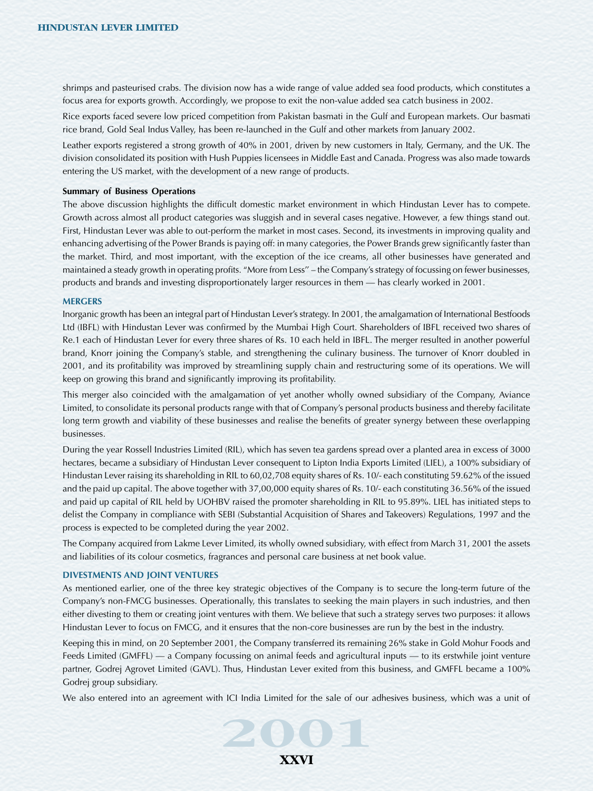shrimps and pasteurised crabs. The division now has a wide range of value added sea food products, which constitutes a focus area for exports growth. Accordingly, we propose to exit the non-value added sea catch business in 2002.

Rice exports faced severe low priced competition from Pakistan basmati in the Gulf and European markets. Our basmati rice brand, Gold Seal Indus Valley, has been re-launched in the Gulf and other markets from January 2002.

Leather exports registered a strong growth of 40% in 2001, driven by new customers in Italy, Germany, and the UK. The division consolidated its position with Hush Puppies licensees in Middle East and Canada. Progress was also made towards entering the US market, with the development of a new range of products.

#### **Summary of Business Operations**

The above discussion highlights the difficult domestic market environment in which Hindustan Lever has to compete. Growth across almost all product categories was sluggish and in several cases negative. However, a few things stand out. First, Hindustan Lever was able to out-perform the market in most cases. Second, its investments in improving quality and enhancing advertising of the Power Brands is paying off: in many categories, the Power Brands grew significantly faster than the market. Third, and most important, with the exception of the ice creams, all other businesses have generated and maintained a steady growth in operating profits. "More from Less'' – the Company's strategy of focussing on fewer businesses, products and brands and investing disproportionately larger resources in them — has clearly worked in 2001.

#### **MERGERS**

Inorganic growth has been an integral part of Hindustan Lever's strategy. In 2001, the amalgamation of International Bestfoods Ltd (IBFL) with Hindustan Lever was confirmed by the Mumbai High Court. Shareholders of IBFL received two shares of Re.1 each of Hindustan Lever for every three shares of Rs. 10 each held in IBFL. The merger resulted in another powerful brand, Knorr joining the Company's stable, and strengthening the culinary business. The turnover of Knorr doubled in 2001, and its profitability was improved by streamlining supply chain and restructuring some of its operations. We will keep on growing this brand and significantly improving its profitability.

This merger also coincided with the amalgamation of yet another wholly owned subsidiary of the Company, Aviance Limited, to consolidate its personal products range with that of Company's personal products business and thereby facilitate long term growth and viability of these businesses and realise the benefits of greater synergy between these overlapping businesses.

During the year Rossell Industries Limited (RIL), which has seven tea gardens spread over a planted area in excess of 3000 hectares, became a subsidiary of Hindustan Lever consequent to Lipton India Exports Limited (LIEL), a 100% subsidiary of Hindustan Lever raising its shareholding in RIL to 60,02,708 equity shares of Rs. 10/- each constituting 59.62% of the issued and the paid up capital. The above together with 37,00,000 equity shares of Rs. 10/- each constituting 36.56% of the issued and paid up capital of RIL held by UOHBV raised the promoter shareholding in RIL to 95.89%. LIEL has initiated steps to delist the Company in compliance with SEBI (Substantial Acquisition of Shares and Takeovers) Regulations, 1997 and the process is expected to be completed during the year 2002.

The Company acquired from Lakme Lever Limited, its wholly owned subsidiary, with effect from March 31, 2001 the assets and liabilities of its colour cosmetics, fragrances and personal care business at net book value.

#### **DIVESTMENTS AND JOINT VENTURES**

As mentioned earlier, one of the three key strategic objectives of the Company is to secure the long-term future of the Company's non-FMCG businesses. Operationally, this translates to seeking the main players in such industries, and then either divesting to them or creating joint ventures with them. We believe that such a strategy serves two purposes: it allows Hindustan Lever to focus on FMCG, and it ensures that the non-core businesses are run by the best in the industry.

Keeping this in mind, on 20 September 2001, the Company transferred its remaining 26% stake in Gold Mohur Foods and Feeds Limited (GMFFL) — a Company focussing on animal feeds and agricultural inputs — to its erstwhile joint venture partner, Godrej Agrovet Limited (GAVL). Thus, Hindustan Lever exited from this business, and GMFFL became a 100% Godrej group subsidiary.

We also entered into an agreement with ICI India Limited for the sale of our adhesives business, which was a unit of<br>**2001** 

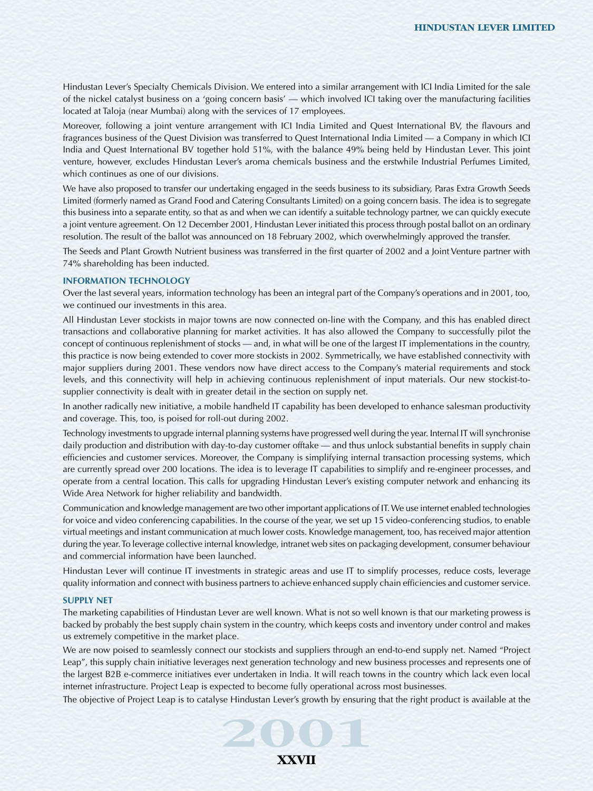Hindustan Lever's Specialty Chemicals Division. We entered into a similar arrangement with ICI India Limited for the sale of the nickel catalyst business on a 'going concern basis' — which involved ICI taking over the manufacturing facilities located at Taloja (near Mumbai) along with the services of 17 employees.

Moreover, following a joint venture arrangement with ICI India Limited and Quest International BV, the flavours and fragrances business of the Quest Division was transferred to Quest International India Limited — a Company in which ICI India and Quest International BV together hold 51%, with the balance 49% being held by Hindustan Lever. This joint venture, however, excludes Hindustan Lever's aroma chemicals business and the erstwhile Industrial Perfumes Limited, which continues as one of our divisions.

We have also proposed to transfer our undertaking engaged in the seeds business to its subsidiary, Paras Extra Growth Seeds Limited (formerly named as Grand Food and Catering Consultants Limited) on a going concern basis. The idea is to segregate this business into a separate entity, so that as and when we can identify a suitable technology partner, we can quickly execute a joint venture agreement. On 12 December 2001, Hindustan Lever initiated this process through postal ballot on an ordinary resolution. The result of the ballot was announced on 18 February 2002, which overwhelmingly approved the transfer.

The Seeds and Plant Growth Nutrient business was transferred in the first quarter of 2002 and a Joint Venture partner with 74% shareholding has been inducted.

#### **INFORMATION TECHNOLOGY**

Over the last several years, information technology has been an integral part of the Company's operations and in 2001, too, we continued our investments in this area.

All Hindustan Lever stockists in major towns are now connected on-line with the Company, and this has enabled direct transactions and collaborative planning for market activities. It has also allowed the Company to successfully pilot the concept of continuous replenishment of stocks — and, in what will be one of the largest IT implementations in the country, this practice is now being extended to cover more stockists in 2002. Symmetrically, we have established connectivity with major suppliers during 2001. These vendors now have direct access to the Company's material requirements and stock levels, and this connectivity will help in achieving continuous replenishment of input materials. Our new stockist-tosupplier connectivity is dealt with in greater detail in the section on supply net.

In another radically new initiative, a mobile handheld IT capability has been developed to enhance salesman productivity and coverage. This, too, is poised for roll-out during 2002.

Technology investments to upgrade internal planning systems have progressed well during the year. Internal IT will synchronise daily production and distribution with day-to-day customer offtake — and thus unlock substantial benefits in supply chain efficiencies and customer services. Moreover, the Company is simplifying internal transaction processing systems, which are currently spread over 200 locations. The idea is to leverage IT capabilities to simplify and re-engineer processes, and operate from a central location. This calls for upgrading Hindustan Lever's existing computer network and enhancing its Wide Area Network for higher reliability and bandwidth.

Communication and knowledge management are two other important applications of IT. We use internet enabled technologies for voice and video conferencing capabilities. In the course of the year, we set up 15 video-conferencing studios, to enable virtual meetings and instant communication at much lower costs. Knowledge management, too, has received major attention during the year. To leverage collective internal knowledge, intranet web sites on packaging development, consumer behaviour and commercial information have been launched.

Hindustan Lever will continue IT investments in strategic areas and use IT to simplify processes, reduce costs, leverage quality information and connect with business partners to achieve enhanced supply chain efficiencies and customer service.

#### **SUPPLY NET**

The marketing capabilities of Hindustan Lever are well known. What is not so well known is that our marketing prowess is backed by probably the best supply chain system in the country, which keeps costs and inventory under control and makes us extremely competitive in the market place.

We are now poised to seamlessly connect our stockists and suppliers through an end-to-end supply net. Named "Project Leap", this supply chain initiative leverages next generation technology and new business processes and represents one of the largest B2B e-commerce initiatives ever undertaken in India. It will reach towns in the country which lack even local internet infrastructure. Project Leap is expected to become fully operational across most businesses.

The objective of Project Leap is to catalyse Hindustan Lever's growth by ensuring that the right product is available at the<br>**2001** 

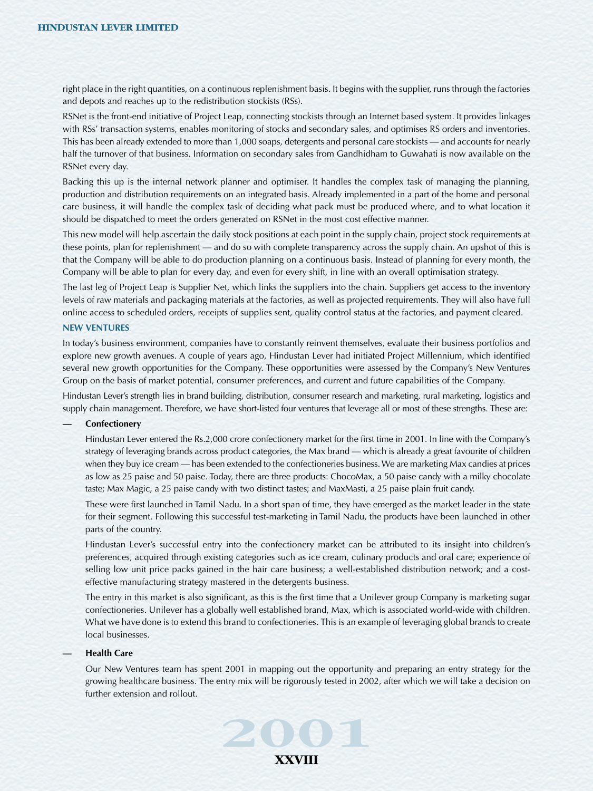right place in the right quantities, on a continuous replenishment basis. It begins with the supplier, runs through the factories and depots and reaches up to the redistribution stockists (RSs).

RSNet is the front-end initiative of Project Leap, connecting stockists through an Internet based system. It provides linkages with RSs' transaction systems, enables monitoring of stocks and secondary sales, and optimises RS orders and inventories. This has been already extended to more than 1,000 soaps, detergents and personal care stockists — and accounts for nearly half the turnover of that business. Information on secondary sales from Gandhidham to Guwahati is now available on the RSNet every day.

Backing this up is the internal network planner and optimiser. It handles the complex task of managing the planning, production and distribution requirements on an integrated basis. Already implemented in a part of the home and personal care business, it will handle the complex task of deciding what pack must be produced where, and to what location it should be dispatched to meet the orders generated on RSNet in the most cost effective manner.

This new model will help ascertain the daily stock positions at each point in the supply chain, project stock requirements at these points, plan for replenishment — and do so with complete transparency across the supply chain. An upshot of this is that the Company will be able to do production planning on a continuous basis. Instead of planning for every month, the Company will be able to plan for every day, and even for every shift, in line with an overall optimisation strategy.

The last leg of Project Leap is Supplier Net, which links the suppliers into the chain. Suppliers get access to the inventory levels of raw materials and packaging materials at the factories, as well as projected requirements. They will also have full online access to scheduled orders, receipts of supplies sent, quality control status at the factories, and payment cleared.

#### **NEW VENTURES**

In today's business environment, companies have to constantly reinvent themselves, evaluate their business portfolios and explore new growth avenues. A couple of years ago, Hindustan Lever had initiated Project Millennium, which identified several new growth opportunities for the Company. These opportunities were assessed by the Company's New Ventures Group on the basis of market potential, consumer preferences, and current and future capabilities of the Company.

Hindustan Lever's strength lies in brand building, distribution, consumer research and marketing, rural marketing, logistics and supply chain management. Therefore, we have short-listed four ventures that leverage all or most of these strengths. These are:

#### **— Confectionery**

Hindustan Lever entered the Rs.2,000 crore confectionery market for the first time in 2001. In line with the Company's strategy of leveraging brands across product categories, the Max brand — which is already a great favourite of children when they buy ice cream — has been extended to the confectioneries business. We are marketing Max candies at prices as low as 25 paise and 50 paise. Today, there are three products: ChocoMax, a 50 paise candy with a milky chocolate taste; Max Magic, a 25 paise candy with two distinct tastes; and MaxMasti, a 25 paise plain fruit candy.

These were first launched in Tamil Nadu. In a short span of time, they have emerged as the market leader in the state for their segment. Following this successful test-marketing in Tamil Nadu, the products have been launched in other parts of the country.

Hindustan Lever's successful entry into the confectionery market can be attributed to its insight into children's preferences, acquired through existing categories such as ice cream, culinary products and oral care; experience of selling low unit price packs gained in the hair care business; a well-established distribution network; and a costeffective manufacturing strategy mastered in the detergents business.

The entry in this market is also significant, as this is the first time that a Unilever group Company is marketing sugar confectioneries. Unilever has a globally well established brand, Max, which is associated world-wide with children. What we have done is to extend this brand to confectioneries. This is an example of leveraging global brands to create local businesses.

#### **— Health Care**

Our New Ventures team has spent 2001 in mapping out the opportunity and preparing an entry strategy for the growing healthcare business. The entry mix will be rigorously tested in 2002, after which we will take a decision on further extension and rollout.

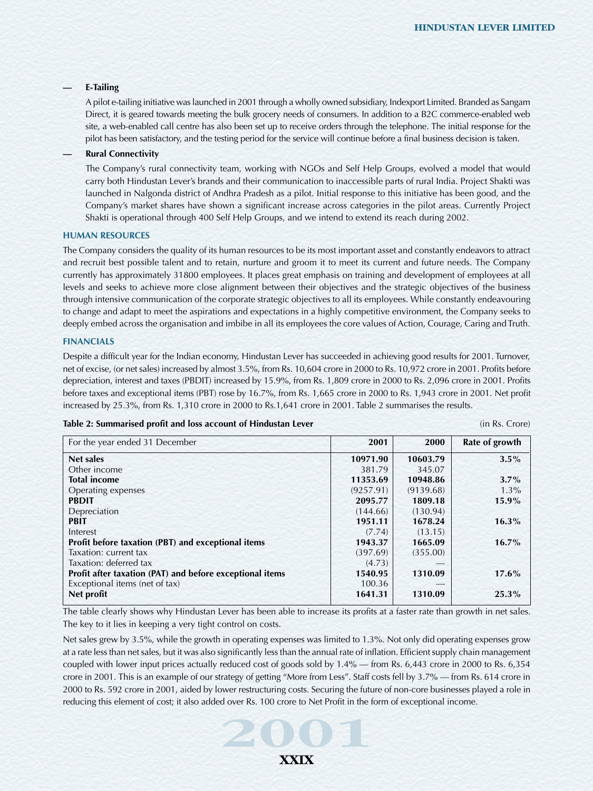## **— E-Tailing**

A pilot e-tailing initiative was launched in 2001 through a wholly owned subsidiary, Indexport Limited. Branded as Sangam Direct, it is geared towards meeting the bulk grocery needs of consumers. In addition to a B2C commerce-enabled web site, a web-enabled call centre has also been set up to receive orders through the telephone. The initial response for the pilot has been satisfactory, and the testing period for the service will continue before a final business decision is taken.

# **— Rural Connectivity**

The Company's rural connectivity team, working with NGOs and Self Help Groups, evolved a model that would carry both Hindustan Lever's brands and their communication to inaccessible parts of rural India. Project Shakti was launched in Nalgonda district of Andhra Pradesh as a pilot. Initial response to this initiative has been good, and the Company's market shares have shown a significant increase across categories in the pilot areas. Currently Project Shakti is operational through 400 Self Help Groups, and we intend to extend its reach during 2002.

#### **HUMAN RESOURCES**

The Company considers the quality of its human resources to be its most important asset and constantly endeavors to attract and recruit best possible talent and to retain, nurture and groom it to meet its current and future needs. The Company currently has approximately 31800 employees. It places great emphasis on training and development of employees at all levels and seeks to achieve more close alignment between their objectives and the strategic objectives of the business through intensive communication of the corporate strategic objectives to all its employees. While constantly endeavouring to change and adapt to meet the aspirations and expectations in a highly competitive environment, the Company seeks to deeply embed across the organisation and imbibe in all its employees the core values of Action, Courage, Caring and Truth.

### **FINANCIALS**

Despite a difficult year for the Indian economy, Hindustan Lever has succeeded in achieving good results for 2001. Turnover, net of excise, (or net sales) increased by almost 3.5%, from Rs. 10,604 crore in 2000 to Rs. 10,972 crore in 2001. Profits before depreciation, interest and taxes (PBDIT) increased by 15.9%, from Rs. 1,809 crore in 2000 to Rs. 2,096 crore in 2001. Profits before taxes and exceptional items (PBT) rose by 16.7%, from Rs. 1,665 crore in 2000 to Rs. 1,943 crore in 2001. Net profit increased by 25.3%, from Rs. 1,310 crore in 2000 to Rs.1,641 crore in 2001. Table 2 summarises the results.

#### **Table 2: Summarised profit and loss account of Hindustan Lever** (in Rs. Crore) (in Rs. Crore)

| For the year ended 31 December                           | 2001      | 2000      | Rate of growth |
|----------------------------------------------------------|-----------|-----------|----------------|
| Net sales                                                | 10971.90  | 10603.79  | $3.5\%$        |
| Other income                                             | 381.79    | 345.07    |                |
| <b>Total income</b>                                      | 11353.69  | 10948.86  | $3.7\%$        |
| Operating expenses                                       | (9257.91) | (9139.68) | $1.3\%$        |
| <b>PBDIT</b>                                             | 2095.77   | 1809.18   | $15.9\%$       |
| Depreciation                                             | (144.66)  | (130.94)  |                |
| <b>PBIT</b>                                              | 1951.11   | 1678.24   | $16.3\%$       |
| Interest                                                 | (7.74)    | (13.15)   |                |
| Profit before taxation (PBT) and exceptional items       | 1943.37   | 1665.09   | $16.7\%$       |
| Taxation: current tax                                    | (397.69)  | (355.00)  |                |
| Taxation: deferred tax                                   | (4.73)    |           |                |
| Profit after taxation (PAT) and before exceptional items | 1540.95   | 1310.09   | $17.6\%$       |
| Exceptional items (net of tax)                           | 100.36    |           |                |
| Net profit                                               | 1641.31   | 1310.09   | $25.3\%$       |

The table clearly shows why Hindustan Lever has been able to increase its profits at a faster rate than growth in net sales. The key to it lies in keeping a very tight control on costs.

**2001** reducing this element of cost; it also added over Rs. 100 crore to Net Profit in the form of exceptional income. Net sales grew by 3.5%, while the growth in operating expenses was limited to 1.3%. Not only did operating expenses grow at a rate less than net sales, but it was also significantly less than the annual rate of inflation. Efficient supply chain management coupled with lower input prices actually reduced cost of goods sold by 1.4% — from Rs. 6,443 crore in 2000 to Rs. 6,354 crore in 2001. This is an example of our strategy of getting "More from Less". Staff costs fell by 3.7% — from Rs. 614 crore in 2000 to Rs. 592 crore in 2001, aided by lower restructuring costs. Securing the future of non-core businesses played a role in

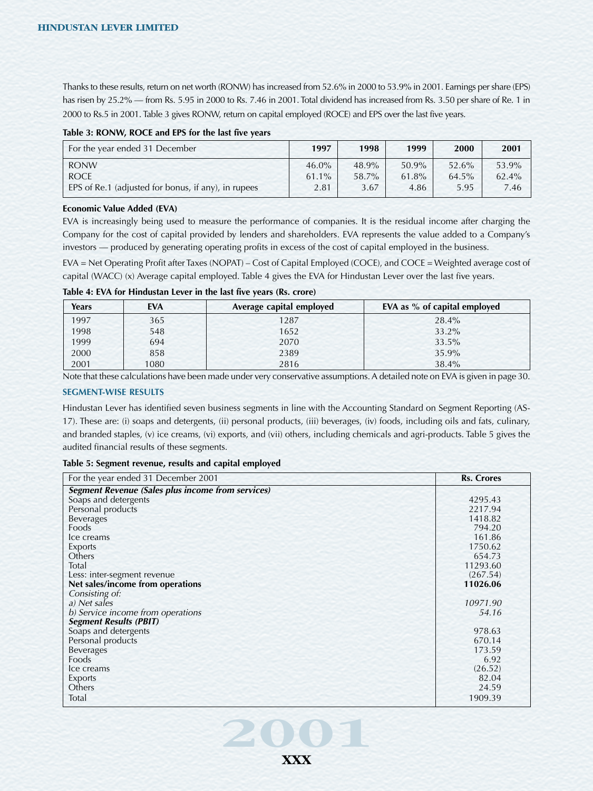Thanks to these results, return on net worth (RONW) has increased from 52.6% in 2000 to 53.9% in 2001. Earnings per share (EPS) has risen by 25.2% — from Rs. 5.95 in 2000 to Rs. 7.46 in 2001. Total dividend has increased from Rs. 3.50 per share of Re. 1 in 2000 to Rs.5 in 2001. Table 3 gives RONW, return on capital employed (ROCE) and EPS over the last five years.

### **Table 3: RONW, ROCE and EPS for the last five years**

| For the year ended 31 December                      | 1997     | 1998  | 1999  | 2000     | 2001  |
|-----------------------------------------------------|----------|-------|-------|----------|-------|
| <b>RONW</b>                                         | $46.0\%$ | 48.9% | 50.9% | 52.6%    | 53.9% |
| <b>ROCE</b>                                         | $61.1\%$ | 58.7% | 61.8% | $64.5\%$ | 62.4% |
| EPS of Re.1 (adjusted for bonus, if any), in rupees | 2.81     | 3.67  | 4.86  | 5.95     | 7.46  |

### **Economic Value Added (EVA)**

EVA is increasingly being used to measure the performance of companies. It is the residual income after charging the Company for the cost of capital provided by lenders and shareholders. EVA represents the value added to a Company's investors — produced by generating operating profits in excess of the cost of capital employed in the business.

EVA = Net Operating Profit after Taxes (NOPAT) – Cost of Capital Employed (COCE), and COCE = Weighted average cost of capital (WACC) (x) Average capital employed. Table 4 gives the EVA for Hindustan Lever over the last five years.

| Table 4: EVA for Hindustan Lever in the last five years (Rs. crore) |  |  |
|---------------------------------------------------------------------|--|--|
|---------------------------------------------------------------------|--|--|

| Years | <b>EVA</b> | Average capital employed | EVA as % of capital employed |
|-------|------------|--------------------------|------------------------------|
| 1997  | 365        | 1287                     | 28.4%                        |
| 1998  | 548        | 1652                     | 33.2%                        |
| 1999  | 694        | 2070                     | 33.5%                        |
| 2000  | 858        | 2389                     | 35.9%                        |
| 2001  | 1080       | 2816                     | 38.4%                        |

Note that these calculations have been made under very conservative assumptions. A detailed note on EVA is given in page 30.

### **SEGMENT-WISE RESULTS**

Hindustan Lever has identified seven business segments in line with the Accounting Standard on Segment Reporting (AS-17). These are: (i) soaps and detergents, (ii) personal products, (iii) beverages, (iv) foods, including oils and fats, culinary, and branded staples, (v) ice creams, (vi) exports, and (vii) others, including chemicals and agri-products. Table 5 gives the audited financial results of these segments.

#### **Table 5: Segment revenue, results and capital employed**

| For the year ended 31 December 2001                      | <b>Rs. Crores</b> |
|----------------------------------------------------------|-------------------|
| <b>Segment Revenue (Sales plus income from services)</b> |                   |
| Soaps and detergents                                     | 4295.43           |
| Personal products                                        | 2217.94           |
| <b>Beverages</b>                                         | 1418.82           |
| Foods                                                    | 794.20            |
| Ice creams                                               | 161.86            |
| Exports                                                  | 1750.62           |
| Others                                                   | 654.73            |
| Total                                                    | 11293.60          |
| Less: inter-segment revenue                              | (267.54)          |
| Net sales/income from operations                         | 11026.06          |
| Consisting of:                                           |                   |
| a) Net sales                                             | 10971.90          |
| b) Service income from operations                        | 54.16             |
| <b>Segment Results (PBIT)</b>                            |                   |
| Soaps and detergents                                     | 978.63            |
| Personal products                                        | 670.14            |
| <b>Beverages</b>                                         | 173.59            |
| Foods                                                    | 6.92              |
| Ice creams                                               | (26.52)           |
| Exports                                                  | 82.04             |
| Others                                                   | 24.59             |
| Total                                                    | 1909.39           |